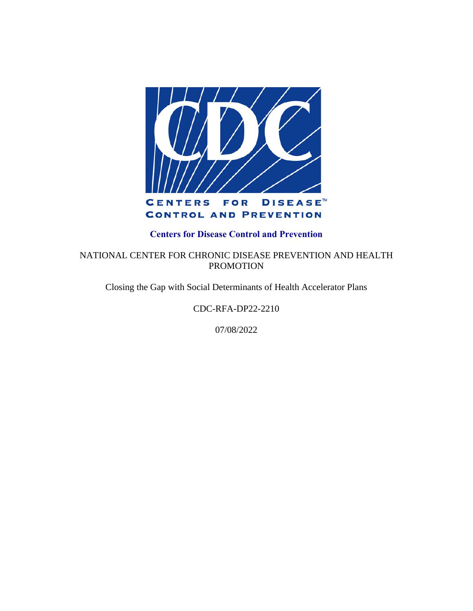

#### **Centers for Disease Control and Prevention**

NATIONAL CENTER FOR CHRONIC DISEASE PREVENTION AND HEALTH PROMOTION

Closing the Gap with Social Determinants of Health Accelerator Plans

CDC-RFA-DP22-2210

07/08/2022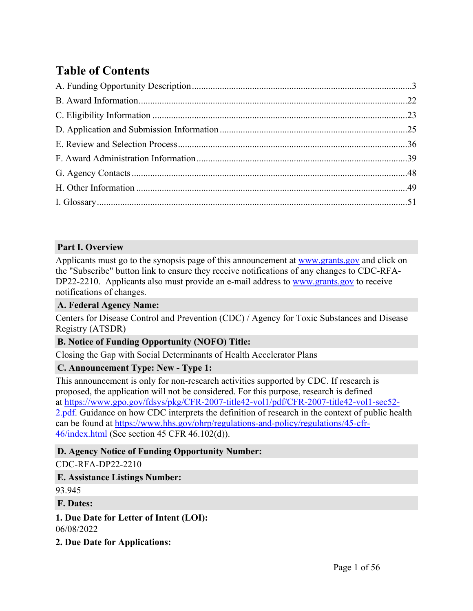# **Table of Contents**

#### **Part I. Overview**

Applicants must go to the synopsis page of this announcement at [www.grants.gov](https://www.grants.gov/) and click on the "Subscribe" button link to ensure they receive notifications of any changes to CDC-RFA-DP22-2210. Applicants also must provide an e-mail address to [www.grants.gov](https://www.grants.gov/) to receive notifications of changes.

#### **A. Federal Agency Name:**

Centers for Disease Control and Prevention (CDC) / Agency for Toxic Substances and Disease Registry (ATSDR)

### **B. Notice of Funding Opportunity (NOFO) Title:**

Closing the Gap with Social Determinants of Health Accelerator Plans

### **C. Announcement Type: New - Type 1:**

This announcement is only for non-research activities supported by CDC. If research is proposed, the application will not be considered. For this purpose, research is defined at [https://www.gpo.gov/fdsys/pkg/CFR-2007-title42-vol1/pdf/CFR-2007-title42-vol1-sec52-](https://www.gpo.gov/fdsys/pkg/CFR-2007-title42-vol1/pdf/CFR-2007-title42-vol1-sec52-2.pdf) [2.pdf.](https://www.gpo.gov/fdsys/pkg/CFR-2007-title42-vol1/pdf/CFR-2007-title42-vol1-sec52-2.pdf) Guidance on how CDC interprets the definition of research in the context of public health can be found at [https://www.hhs.gov/ohrp/regulations-and-policy/regulations/45-cfr-](https://www.hhs.gov/ohrp/regulations-and-policy/regulations/45-cfr-46/index.html)[46/index.html](https://www.hhs.gov/ohrp/regulations-and-policy/regulations/45-cfr-46/index.html) (See section 45 CFR 46.102(d)).

### **D. Agency Notice of Funding Opportunity Number:**

#### CDC-RFA-DP22-2210

#### **E. Assistance Listings Number:**

93.945

#### **F. Dates:**

**1. Due Date for Letter of Intent (LOI):** 06/08/2022

**2. Due Date for Applications:**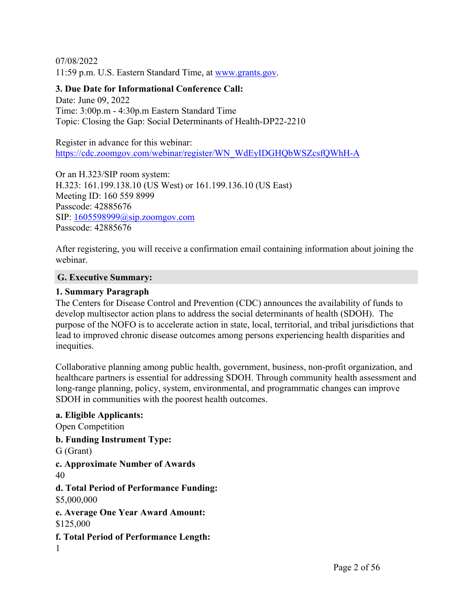07/08/2022 11:59 p.m. U.S. Eastern Standard Time, at [www.grants.gov.](https://www.grants.gov/)

#### **3. Due Date for Informational Conference Call:**

Date: June 09, 2022 Time: 3:00p.m - 4:30p.m Eastern Standard Time Topic: Closing the Gap: Social Determinants of Health-DP22-2210

Register in advance for this webinar: [https://cdc.zoomgov.com/webinar/register/WN\\_WdEyIDGHQbWSZcsfQWhH-A](https://cdc.zoomgov.com/webinar/register/WN_WdEyIDGHQbWSZcsfQWhH-A)

Or an H.323/SIP room system: H.323: 161.199.138.10 (US West) or 161.199.136.10 (US East) Meeting ID: 160 559 8999 Passcode: 42885676 SIP: [1605598999@sip.zoomgov.com](mailto:1605598999@sip.zoomgov.com) Passcode: 42885676

After registering, you will receive a confirmation email containing information about joining the webinar.

#### **G. Executive Summary:**

#### **1. Summary Paragraph**

The Centers for Disease Control and Prevention (CDC) announces the availability of funds to develop multisector action plans to address the social determinants of health (SDOH). The purpose of the NOFO is to accelerate action in state, local, territorial, and tribal jurisdictions that lead to improved chronic disease outcomes among persons experiencing health disparities and inequities.

Collaborative planning among public health, government, business, non-profit organization, and healthcare partners is essential for addressing SDOH. Through community health assessment and long-range planning, policy, system, environmental, and programmatic changes can improve SDOH in communities with the poorest health outcomes.

**a. Eligible Applicants:** Open Competition **b. Funding Instrument Type:** G (Grant) **c. Approximate Number of Awards** 40 **d. Total Period of Performance Funding:** \$5,000,000 **e. Average One Year Award Amount:** \$125,000 **f. Total Period of Performance Length:** 1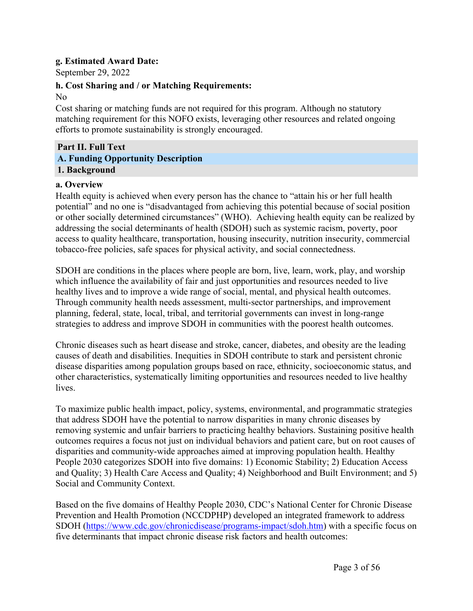#### **g. Estimated Award Date:**

September 29, 2022

#### **h. Cost Sharing and / or Matching Requirements:**

#### No

Cost sharing or matching funds are not required for this program. Although no statutory matching requirement for this NOFO exists, leveraging other resources and related ongoing efforts to promote sustainability is strongly encouraged.

#### <span id="page-3-0"></span>**Part II. Full Text A. Funding Opportunity Description 1. Background**

#### **a. Overview**

Health equity is achieved when every person has the chance to "attain his or her full health potential" and no one is "disadvantaged from achieving this potential because of social position or other socially determined circumstances" (WHO). Achieving health equity can be realized by addressing the social determinants of health (SDOH) such as systemic racism, poverty, poor access to quality healthcare, transportation, housing insecurity, nutrition insecurity, commercial tobacco-free policies, safe spaces for physical activity, and social connectedness.

SDOH are conditions in the places where people are born, live, learn, work, play, and worship which influence the availability of fair and just opportunities and resources needed to live healthy lives and to improve a wide range of social, mental, and physical health outcomes. Through community health needs assessment, multi-sector partnerships, and improvement planning, federal, state, local, tribal, and territorial governments can invest in long-range strategies to address and improve SDOH in communities with the poorest health outcomes.

Chronic diseases such as heart disease and stroke, cancer, diabetes, and obesity are the leading causes of death and disabilities. Inequities in SDOH contribute to stark and persistent chronic disease disparities among population groups based on race, ethnicity, socioeconomic status, and other characteristics, systematically limiting opportunities and resources needed to live healthy **lives** 

To maximize public health impact, policy, systems, environmental, and programmatic strategies that address SDOH have the potential to narrow disparities in many chronic diseases by removing systemic and unfair barriers to practicing healthy behaviors. Sustaining positive health outcomes requires a focus not just on individual behaviors and patient care, but on root causes of disparities and community-wide approaches aimed at improving population health. Healthy People 2030 categorizes SDOH into five domains: 1) Economic Stability; 2) Education Access and Quality; 3) Health Care Access and Quality; 4) Neighborhood and Built Environment; and 5) Social and Community Context.

Based on the five domains of Healthy People 2030, CDC's National Center for Chronic Disease Prevention and Health Promotion (NCCDPHP) developed an integrated framework to address SDOH ([https://www.cdc.gov/chronicdisease/programs-impact/sdoh.htm\)](https://www.cdc.gov/chronicdisease/programs-impact/sdoh.htm) with a specific focus on five determinants that impact chronic disease risk factors and health outcomes: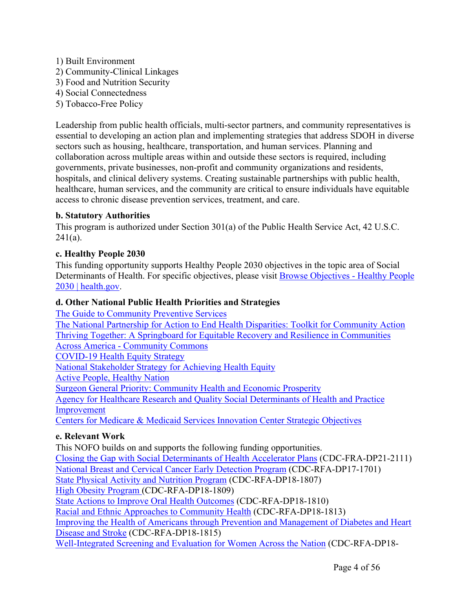- 1) Built Environment 2) Community-Clinical Linkages 3) Food and Nutrition Security 4) Social Connectedness
- 5) Tobacco-Free Policy

Leadership from public health officials, multi-sector partners, and community representatives is essential to developing an action plan and implementing strategies that address SDOH in diverse sectors such as housing, healthcare, transportation, and human services. Planning and collaboration across multiple areas within and outside these sectors is required, including governments, private businesses, non-profit and community organizations and residents, hospitals, and clinical delivery systems. Creating sustainable partnerships with public health, healthcare, human services, and the community are critical to ensure individuals have equitable access to chronic disease prevention services, treatment, and care.

#### **b. Statutory Authorities**

This program is authorized under Section 301(a) of the Public Health Service Act, 42 U.S.C.  $241(a)$ .

#### **c. Healthy People 2030**

This funding opportunity supports Healthy People 2030 objectives in the topic area of Social Determinants of Health. For specific objectives, please visit Browse [Objectives](https://health.gov/healthypeople/objectives-and-data/browse-objectives) - Healthy People 2030 | [health.gov.](https://health.gov/healthypeople/objectives-and-data/browse-objectives)

### **d. Other National Public Health Priorities and Strategies**

The Guide to [Community](https://www.thecommunityguide.org/) Preventive Services The National Partnership for Action to End Health Disparities: Toolkit for [Community](https://lucascountyhealth.com/wp-content/uploads/2016/07/NPA_Toolkit-for-Community-Action.pdf) Action Thriving Together: A Springboard for Equitable Recovery and Resilience in [Communities](https://www.communitycommons.org/entities/fb33981e-616a-43aa-a0d7-28c14566ebbd#:~:text=Well%20Being%20Trust-,Thriving%20Together%3A%20A%20Springboard%20for%20Equitable%20Recovery%20and%20Resilience%20in,tangled%20threats%20to%20our%20nation.) Across America - [Community](https://www.communitycommons.org/entities/fb33981e-616a-43aa-a0d7-28c14566ebbd#:~:text=Well%20Being%20Trust-,Thriving%20Together%3A%20A%20Springboard%20for%20Equitable%20Recovery%20and%20Resilience%20in,tangled%20threats%20to%20our%20nation.) Commons [COVID-19](https://www.cdc.gov/coronavirus/2019-ncov/community/health-equity/cdc-strategy.html) Health Equity Strategy National [Stakeholder](https://www.phdmc.org/program-documents/healthy-lifestyles/dche/64-achieving-health-equity/file) Strategy for Achieving Health Equity Active People, [Healthy](https://www.cdc.gov/physicalactivity/activepeoplehealthynation/index.html) Nation Surgeon General Priority: [Community](https://www.hhs.gov/surgeongeneral/priorities/community-health-economic-prosperity/index.html) Health and Economic Prosperity Agency for Healthcare Research and Quality Social [Determinants](https://www.ahrq.gov/sdoh/practice-improvement.html) of Health and Practice [Improvement](https://www.ahrq.gov/sdoh/practice-improvement.html) Centers for Medicare & Medicaid Services [Innovation](https://innovation.cms.gov/strategic-direction) Center Strategic Objectives

### **e. Relevant Work**

This NOFO builds on and supports the following funding opportunities. Closing the Gap with Social [Determinants](https://www.grants.gov/web/grants/search-grants.html?keywords=CDC-RFA-DP21-2111) of Health Accelerator Plans (CDC-FRA-DP21-2111) National Breast and Cervical Cancer Early [Detection](https://www.cdc.gov/cancer/nbccedp/index.htm) Program (CDC-RFA-DP17-1701) State Physical Activity and [Nutrition](https://www.cdc.gov/nccdphp/dnpao/state-local-programs/span-1807/index.html) Program (CDC-RFA-DP18-1807) High Obesity [Program](https://www.cdc.gov/nccdphp/dnpao/state-local-programs/hop-1809/high-obesity-program-1809.html) (CDC-RFA-DP18-1809) State Actions to Improve Oral Health [Outcomes](https://www.cdc.gov/oralhealth/funded_programs/cooperative_agreements/index.htm) (CDC-RFA-DP18-1810) Racial and Ethnic Approaches to [Community](https://www.cdc.gov/nccdphp/dnpao/state-local-programs/reach/current_programs/index.html) Health (CDC-RFA-DP18-1813) Improving the Health of Americans through Prevention and [Management](https://www.cdc.gov/chronicdisease/about/foa/1815/index.htm) of Diabetes and Heart [Disease](https://www.cdc.gov/chronicdisease/about/foa/1815/index.htm) and Stroke (CDC-RFA-DP18-1815) [Well-Integrated](https://www.cdc.gov/wisewoman/about.htm) Screening and Evaluation for Women Across the Nation (CDC-RFA-DP18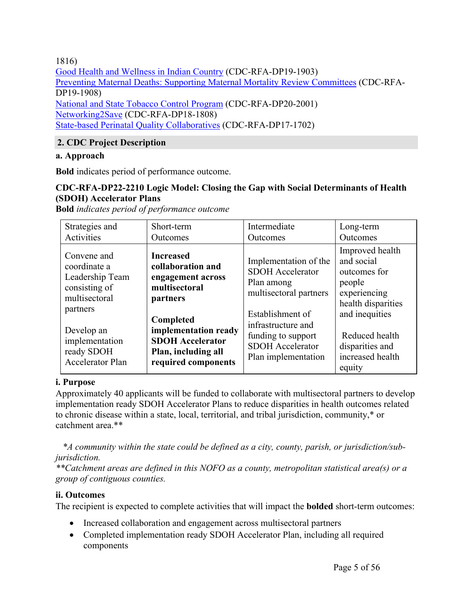1816)

Good Health and [Wellness](https://www.cdc.gov/healthytribes/ghwic.htm) in Indian Country (CDC-RFA-DP19-1903) Preventing Maternal Deaths: Supporting Maternal Mortality Review [Committees](https://www.cdc.gov/reproductivehealth/global/preventing-maternal-deaths.htm) (CDC-RFA-DP19-1908) [National](https://www.cdc.gov/tobacco/stateandcommunity/tobacco_control_programs/index.htm?CDC_AA_refVal=https%3A%2F%2Fwww.cdc.gov%2Ftobacco%2Fstateandcommunity%2Ftobacco_control_programs%2Fntcp%2Findex.htm) and State Tobacco Control Program (CDC-RFA-DP20-2001) [Networking2Save](https://www.cdc.gov/tobacco/about/foa/national-networks-nofo/coop-agreement/index.html) (CDC-RFA-DP18-1808) State-based Perinatal Quality [Collaboratives](https://www.cdc.gov/reproductivehealth/maternalinfanthealth/pqc.htm) (CDC-RFA-DP17-1702)

# **2. CDC Project Description**

#### **a. Approach**

**Bold** indicates period of performance outcome.

#### **CDC-RFA-DP22-2210 Logic Model: Closing the Gap with Social Determinants of Health (SDOH) Accelerator Plans**

**Bold** *indicates period of performance outcome*

| Strategies and                                                                                                                                                 | Short-term                                                                                                                                                                                            | Intermediate                                                                                                                                                                                               | Long-term                                                                                                                                                                          |
|----------------------------------------------------------------------------------------------------------------------------------------------------------------|-------------------------------------------------------------------------------------------------------------------------------------------------------------------------------------------------------|------------------------------------------------------------------------------------------------------------------------------------------------------------------------------------------------------------|------------------------------------------------------------------------------------------------------------------------------------------------------------------------------------|
| Activities                                                                                                                                                     | Outcomes                                                                                                                                                                                              | Outcomes                                                                                                                                                                                                   | Outcomes                                                                                                                                                                           |
| Convene and<br>coordinate a<br>Leadership Team<br>consisting of<br>multisectoral<br>partners<br>Develop an<br>implementation<br>ready SDOH<br>Accelerator Plan | <b>Increased</b><br>collaboration and<br>engagement across<br>multisectoral<br>partners<br>Completed<br>implementation ready<br><b>SDOH Accelerator</b><br>Plan, including all<br>required components | Implementation of the<br><b>SDOH</b> Accelerator<br>Plan among<br>multisectoral partners<br>Establishment of<br>infrastructure and<br>funding to support<br><b>SDOH</b> Accelerator<br>Plan implementation | Improved health<br>and social<br>outcomes for<br>people<br>experiencing<br>health disparities<br>and inequities<br>Reduced health<br>disparities and<br>increased health<br>equity |

#### **i. Purpose**

Approximately 40 applicants will be funded to collaborate with multisectoral partners to develop implementation ready SDOH Accelerator Plans to reduce disparities in health outcomes related to chronic disease within a state, local, territorial, and tribal jurisdiction, community,\* or catchment area.\*\*

*\*A community within the state could be defined as a city, county, parish, or jurisdiction/subjurisdiction.*

*\*\*Catchment areas are defined in this NOFO as a county, metropolitan statistical area(s) or a group of contiguous counties.*

#### **ii. Outcomes**

The recipient is expected to complete activities that will impact the **bolded** short-term outcomes:

- Increased collaboration and engagement across multisectoral partners
- Completed implementation ready SDOH Accelerator Plan, including all required components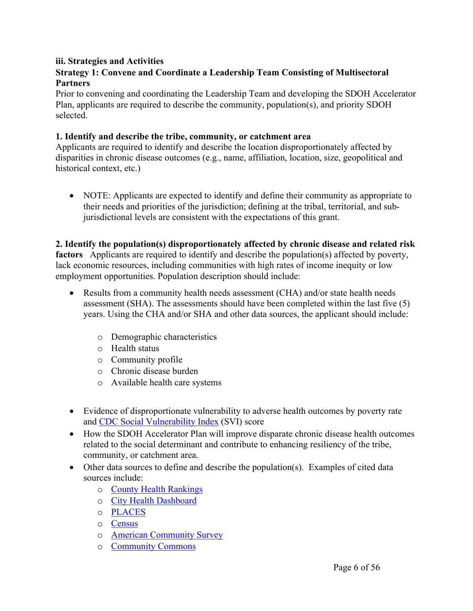#### **iii. Strategies and Activities**

#### **Strategy 1: Convene and Coordinate a Leadership Team Consisting of Multisectoral Partners**

Prior to convening and coordinating the Leadership Team and developing the SDOH Accelerator Plan, applicants are required to describe the community, population(s), and priority SDOH selected.

#### **1. Identify and describe the tribe, community, or catchment area**

Applicants are required to identify and describe the location disproportionately affected by disparities in chronic disease outcomes (e.g., name, affiliation, location, size, geopolitical and historical context, etc.)

• NOTE: Applicants are expected to identify and define their community as appropriate to their needs and priorities of the jurisdiction; defining at the tribal, territorial, and subjurisdictional levels are consistent with the expectations of this grant.

#### **2. Identify the population(s) disproportionately affected by chronic disease and related risk**

**factors** Applicants are required to identify and describe the population(s) affected by poverty, lack economic resources, including communities with high rates of income inequity or low employment opportunities. Population description should include:

- Results from a community health needs assessment (CHA) and/or state health needs assessment (SHA). The assessments should have been completed within the last five (5) years. Using the CHA and/or SHA and other data sources, the applicant should include:
	- o Demographic characteristics
	- o Health status
	- o Community profile
	- o Chronic disease burden
	- o Available health care systems
- Evidence of disproportionate vulnerability to adverse health outcomes by poverty rate and CDC Social [Vulnerability](https://www.atsdr.cdc.gov/placeandhealth/svi/index.html) Index (SVI) score
- How the SDOH Accelerator Plan will improve disparate chronic disease health outcomes related to the social determinant and contribute to enhancing resiliency of the tribe, community, or catchment area.
- Other data sources to define and describe the population(s). Examples of cited data sources include:
	- o County Health [Rankings](https://www.countyhealthrankings.org/)
	- o City Health [Dashboard](https://www.cityhealthdashboard.com/)
	- o [PLACES](https://www.cdc.gov/places/index.html)
	- o [Census](https://data.census.gov/)
	- o American [Community](https://www.census.gov/programs-surveys/acs) Survey
	- o [Community](https://www.communitycommons.org/) Commons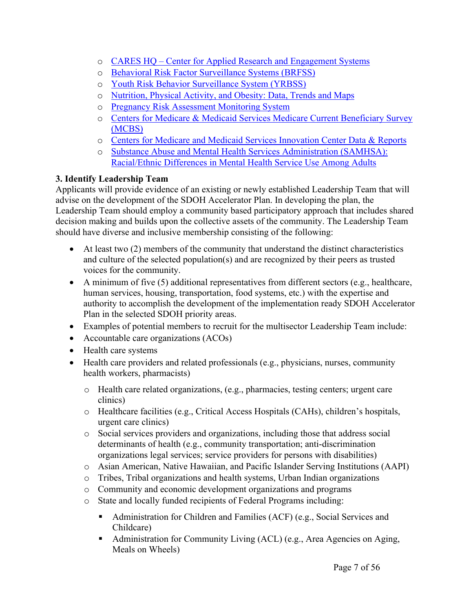- o CARES HQ Center for Applied Research and [Engagement](https://careshq.org/) Systems
- o Behavioral Risk Factor [Surveillance](https://www.cdc.gov/brfss/) Systems (BRFSS)
- o Youth Risk Behavior [Surveillance](https://www.cdc.gov/healthyyouth/data/yrbs/) System (YRBSS)
- o [Nutrition,](http://www.cdc.gov/nccdphp/dnpao/data-trends-maps/index.html) Physical Activity, and Obesity: Data, Trends and Maps
- o Pregnancy Risk [Assessment](https://www.cdc.gov/prams/index.htm) Monitoring System
- o Centers for Medicare & Medicaid Services Medicare Current [Beneficiary](https://www.cms.gov/research-statistics-data-and-systems/research/mcbs) Survey [\(MCBS\)](https://www.cms.gov/research-statistics-data-and-systems/research/mcbs)
- o Centers for Medicare and Medicaid Services [Innovation](https://innovation.cms.gov/data-and-reports) Center Data & Reports
- o Substance Abuse and Mental Health Services [Administration](https://www.samhsa.gov/data/sites/default/files/MHServicesUseAmongAdults/MHServicesUseAmongAdults.pdf) (SAMHSA): [Racial/Ethnic](https://www.samhsa.gov/data/sites/default/files/MHServicesUseAmongAdults/MHServicesUseAmongAdults.pdf) Differences in Mental Health Service Use Among Adults

# **3. Identify Leadership Team**

Applicants will provide evidence of an existing or newly established Leadership Team that will advise on the development of the SDOH Accelerator Plan. In developing the plan, the Leadership Team should employ a community based participatory approach that includes shared decision making and builds upon the collective assets of the community. The Leadership Team should have diverse and inclusive membership consisting of the following:

- At least two (2) members of the community that understand the distinct characteristics and culture of the selected population(s) and are recognized by their peers as trusted voices for the community.
- A minimum of five  $(5)$  additional representatives from different sectors  $(e.g.,$  healthcare, human services, housing, transportation, food systems, etc.) with the expertise and authority to accomplish the development of the implementation ready SDOH Accelerator Plan in the selected SDOH priority areas.
- Examples of potential members to recruit for the multisector Leadership Team include:
- Accountable care organizations (ACOs)
- Health care systems
- Health care providers and related professionals (e.g., physicians, nurses, community health workers, pharmacists)
	- o Health care related organizations, (e.g., pharmacies, testing centers; urgent care clinics)
	- o Healthcare facilities (e.g., Critical Access Hospitals (CAHs), children's hospitals, urgent care clinics)
	- o Social services providers and organizations, including those that address social determinants of health (e.g., community transportation; anti-discrimination organizations legal services; service providers for persons with disabilities)
	- o Asian American, Native Hawaiian, and Pacific Islander Serving Institutions (AAPI)
	- o Tribes, Tribal organizations and health systems, Urban Indian organizations
	- o Community and economic development organizations and programs
	- o State and locally funded recipients of Federal Programs including:
		- Administration for Children and Families (ACF) (e.g., Social Services and Childcare)
		- Administration for Community Living (ACL) (e.g., Area Agencies on Aging, Meals on Wheels)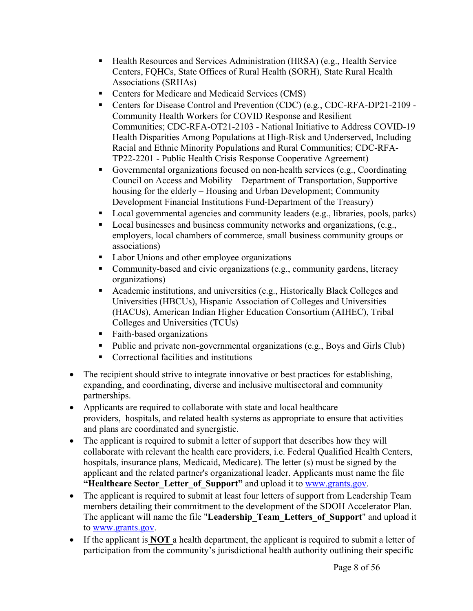- Health Resources and Services Administration (HRSA) (e.g., Health Service Centers, FQHCs, State Offices of Rural Health (SORH), State Rural Health Associations (SRHAs)
- Centers for Medicare and Medicaid Services (CMS)
- Centers for Disease Control and Prevention (CDC) (e.g., CDC-RFA-DP21-2109 -Community Health Workers for COVID Response and Resilient Communities; CDC-RFA-OT21-2103 - National Initiative to Address COVID-19 Health Disparities Among Populations at High-Risk and Underserved, Including Racial and Ethnic Minority Populations and Rural Communities; CDC-RFA-TP22-2201 - Public Health Crisis Response Cooperative Agreement)
- Governmental organizations focused on non-health services (e.g., Coordinating Council on Access and Mobility – Department of Transportation, Supportive housing for the elderly – Housing and Urban Development; Community Development Financial Institutions Fund-Department of the Treasury)
- Local governmental agencies and community leaders (e.g., libraries, pools, parks)
- Local businesses and business community networks and organizations, (e.g., employers, local chambers of commerce, small business community groups or associations)
- **Labor Unions and other employee organizations**
- Community-based and civic organizations (e.g., community gardens, literacy organizations)
- Academic institutions, and universities (e.g., Historically Black Colleges and Universities (HBCUs), Hispanic Association of Colleges and Universities (HACUs), American Indian Higher Education Consortium (AIHEC), Tribal Colleges and Universities (TCUs)
- Faith-based organizations
- Public and private non-governmental organizations (e.g., Boys and Girls Club)
- Correctional facilities and institutions
- The recipient should strive to integrate innovative or best practices for establishing. expanding, and coordinating, diverse and inclusive multisectoral and community partnerships.
- Applicants are required to collaborate with state and local healthcare providers, hospitals, and related health systems as appropriate to ensure that activities and plans are coordinated and synergistic.
- The applicant is required to submit a letter of support that describes how they will collaborate with relevant the health care providers, i.e. Federal Qualified Health Centers, hospitals, insurance plans, Medicaid, Medicare). The letter (s) must be signed by the applicant and the related partner's organizational leader. Applicants must name the file **"Healthcare Sector\_Letter\_of\_Support"** and upload it to [www.grants.gov.](http://www.grants.gov/)
- The applicant is required to submit at least four letters of support from Leadership Team members detailing their commitment to the development of the SDOH Accelerator Plan. The applicant will name the file "**Leadership\_Team\_Letters\_of\_Support**" and upload it to [www.grants.gov.](http://www.grants.gov/)
- If the applicant is **NOT** a health department, the applicant is required to submit a letter of participation from the community's jurisdictional health authority outlining their specific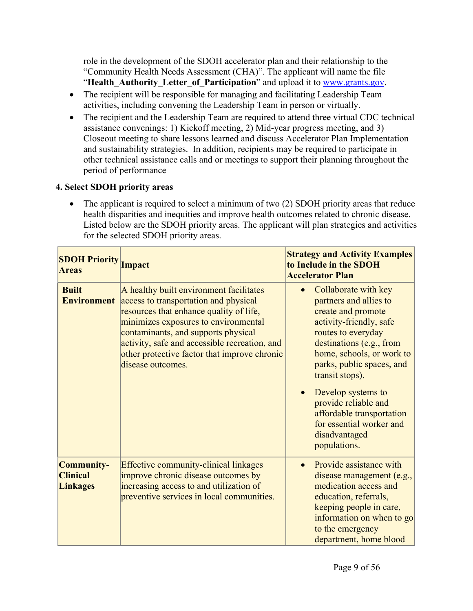role in the development of the SDOH accelerator plan and their relationship to the "Community Health Needs Assessment (CHA)". The applicant will name the file "**Health Authority Letter of Participation**" and upload it to [www.grants.gov.](http://www.grants.gov)

- The recipient will be responsible for managing and facilitating Leadership Team activities, including convening the Leadership Team in person or virtually.
- The recipient and the Leadership Team are required to attend three virtual CDC technical assistance convenings: 1) Kickoff meeting, 2) Mid-year progress meeting, and 3) Closeout meeting to share lessons learned and discuss Accelerator Plan Implementation and sustainability strategies. In addition, recipients may be required to participate in other technical assistance calls and or meetings to support their planning throughout the period of performance

#### **4. Select SDOH priority areas**

• The applicant is required to select a minimum of two (2) SDOH priority areas that reduce health disparities and inequities and improve health outcomes related to chronic disease. Listed below are the SDOH priority areas. The applicant will plan strategies and activities for the selected SDOH priority areas.

| <b>SDOH Priority</b><br><b>Areas</b>                    | Impact                                                                                                                                                                                                                                                                                                                           | <b>Strategy and Activity Examples</b><br>to Include in the SDOH<br><b>Accelerator Plan</b>                                                                                                                                                                                                                                                             |
|---------------------------------------------------------|----------------------------------------------------------------------------------------------------------------------------------------------------------------------------------------------------------------------------------------------------------------------------------------------------------------------------------|--------------------------------------------------------------------------------------------------------------------------------------------------------------------------------------------------------------------------------------------------------------------------------------------------------------------------------------------------------|
| <b>Built</b><br><b>Environment</b>                      | A healthy built environment facilitates<br>access to transportation and physical<br>resources that enhance quality of life,<br>minimizes exposures to environmental<br>contaminants, and supports physical<br>activity, safe and accessible recreation, and<br>other protective factor that improve chronic<br>disease outcomes. | Collaborate with key<br>partners and allies to<br>create and promote<br>activity-friendly, safe<br>routes to everyday<br>destinations (e.g., from<br>home, schools, or work to<br>parks, public spaces, and<br>transit stops).<br>Develop systems to<br>provide reliable and<br>affordable transportation<br>for essential worker and<br>disadvantaged |
|                                                         |                                                                                                                                                                                                                                                                                                                                  | populations.                                                                                                                                                                                                                                                                                                                                           |
| <b>Community-</b><br><b>Clinical</b><br><b>Linkages</b> | <b>Effective community-clinical linkages</b><br>improve chronic disease outcomes by<br>increasing access to and utilization of<br>preventive services in local communities.                                                                                                                                                      | Provide assistance with<br>$\bullet$<br>disease management (e.g.,<br>medication access and<br>education, referrals,<br>keeping people in care,<br>information on when to go<br>to the emergency<br>department, home blood                                                                                                                              |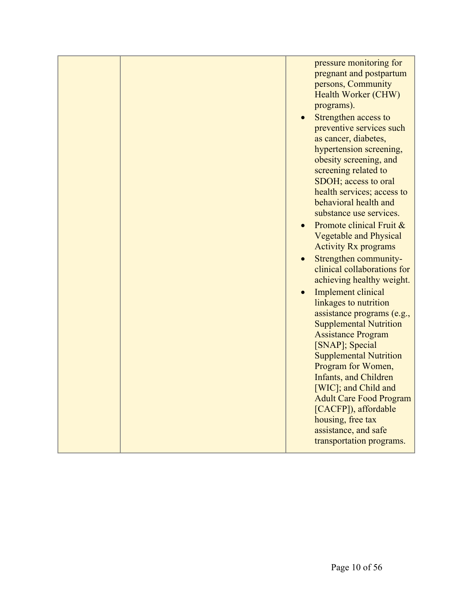|  | pressure monitoring for<br>pregnant and postpartum<br>persons, Community<br>Health Worker (CHW)<br>programs).<br>Strengthen access to<br>preventive services such<br>as cancer, diabetes,<br>hypertension screening,<br>obesity screening, and<br>screening related to<br>SDOH; access to oral<br>health services; access to<br>behavioral health and<br>substance use services.<br>Promote clinical Fruit &<br><b>Vegetable and Physical</b><br><b>Activity Rx programs</b><br>Strengthen community-<br>clinical collaborations for<br>achieving healthy weight.<br><b>Implement clinical</b> |
|--|------------------------------------------------------------------------------------------------------------------------------------------------------------------------------------------------------------------------------------------------------------------------------------------------------------------------------------------------------------------------------------------------------------------------------------------------------------------------------------------------------------------------------------------------------------------------------------------------|
|  | linkages to nutrition<br>assistance programs (e.g.,<br><b>Supplemental Nutrition</b><br><b>Assistance Program</b><br>[SNAP]; Special<br><b>Supplemental Nutrition</b><br>Program for Women,<br><b>Infants, and Children</b><br>[WIC]; and Child and<br><b>Adult Care Food Program</b><br>[CACFP]), affordable<br>housing, free tax<br>assistance, and safe<br>transportation programs.                                                                                                                                                                                                         |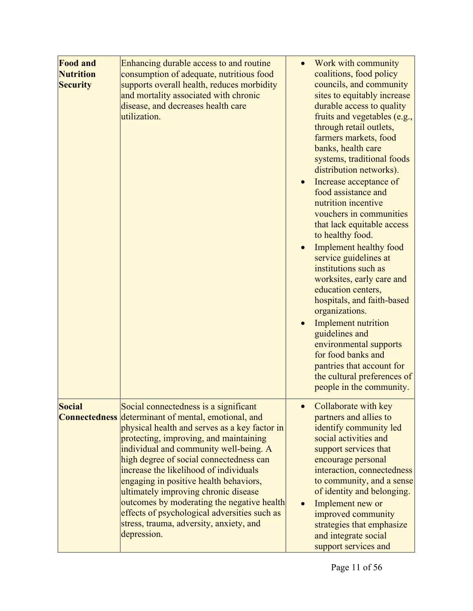| <b>Food and</b><br><b>Nutrition</b><br><b>Security</b> | Enhancing durable access to and routine<br>consumption of adequate, nutritious food<br>supports overall health, reduces morbidity<br>and mortality associated with chronic<br>disease, and decreases health care<br>utilization.                                                                                                                                                                                                                                                                                                                                        | $\bullet$ | Work with community<br>coalitions, food policy<br>councils, and community<br>sites to equitably increase<br>durable access to quality<br>fruits and vegetables (e.g.,<br>through retail outlets,<br>farmers markets, food<br>banks, health care<br>systems, traditional foods<br>distribution networks).<br>Increase acceptance of<br>food assistance and<br>nutrition incentive<br>vouchers in communities<br>that lack equitable access<br>to healthy food.<br><b>Implement healthy food</b><br>service guidelines at<br>institutions such as<br>worksites, early care and<br>education centers,<br>hospitals, and faith-based<br>organizations.<br>Implement nutrition<br>guidelines and<br>environmental supports<br>for food banks and<br>pantries that account for<br>the cultural preferences of<br>people in the community. |
|--------------------------------------------------------|-------------------------------------------------------------------------------------------------------------------------------------------------------------------------------------------------------------------------------------------------------------------------------------------------------------------------------------------------------------------------------------------------------------------------------------------------------------------------------------------------------------------------------------------------------------------------|-----------|-------------------------------------------------------------------------------------------------------------------------------------------------------------------------------------------------------------------------------------------------------------------------------------------------------------------------------------------------------------------------------------------------------------------------------------------------------------------------------------------------------------------------------------------------------------------------------------------------------------------------------------------------------------------------------------------------------------------------------------------------------------------------------------------------------------------------------------|
| <b>Social</b>                                          | Social connectedness is a significant<br><b>Connectedness</b> determinant of mental, emotional, and<br>physical health and serves as a key factor in<br>protecting, improving, and maintaining<br>individual and community well-being. A<br>high degree of social connectedness can<br>increase the likelihood of individuals<br>engaging in positive health behaviors,<br>ultimately improving chronic disease<br>outcomes by moderating the negative health<br>effects of psychological adversities such as<br>stress, trauma, adversity, anxiety, and<br>depression. |           | Collaborate with key<br>partners and allies to<br>identify community led<br>social activities and<br>support services that<br>encourage personal<br>interaction, connectedness<br>to community, and a sense<br>of identity and belonging.<br>Implement new or<br>improved community<br>strategies that emphasize<br>and integrate social<br>support services and                                                                                                                                                                                                                                                                                                                                                                                                                                                                    |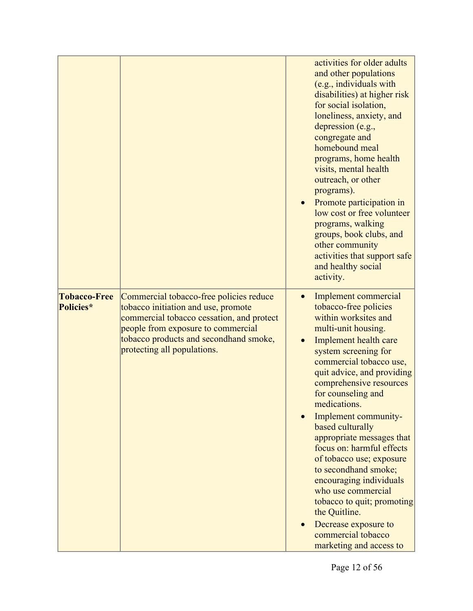|                                  |                                                                                                                                                                                                                                            | activities for older adults<br>and other populations<br>(e.g., individuals with<br>disabilities) at higher risk<br>for social isolation,<br>loneliness, anxiety, and<br>depression (e.g.,<br>congregate and<br>homebound meal<br>programs, home health<br>visits, mental health<br>outreach, or other<br>programs).<br>Promote participation in<br>low cost or free volunteer<br>programs, walking<br>groups, book clubs, and<br>other community<br>activities that support safe<br>and healthy social<br>activity.                                                                                                     |
|----------------------------------|--------------------------------------------------------------------------------------------------------------------------------------------------------------------------------------------------------------------------------------------|-------------------------------------------------------------------------------------------------------------------------------------------------------------------------------------------------------------------------------------------------------------------------------------------------------------------------------------------------------------------------------------------------------------------------------------------------------------------------------------------------------------------------------------------------------------------------------------------------------------------------|
| <b>Tobacco-Free</b><br>Policies* | Commercial tobacco-free policies reduce<br>tobacco initiation and use, promote<br>commercial tobacco cessation, and protect<br>people from exposure to commercial<br>tobacco products and secondhand smoke,<br>protecting all populations. | Implement commercial<br>$\bullet$<br>tobacco-free policies<br>within worksites and<br>multi-unit housing.<br>Implement health care<br>system screening for<br>commercial tobacco use,<br>quit advice, and providing<br>comprehensive resources<br>for counseling and<br>medications.<br>Implement community-<br>based culturally<br>appropriate messages that<br>focus on: harmful effects<br>of tobacco use; exposure<br>to secondhand smoke;<br>encouraging individuals<br>who use commercial<br>tobacco to quit; promoting<br>the Quitline.<br>Decrease exposure to<br>commercial tobacco<br>marketing and access to |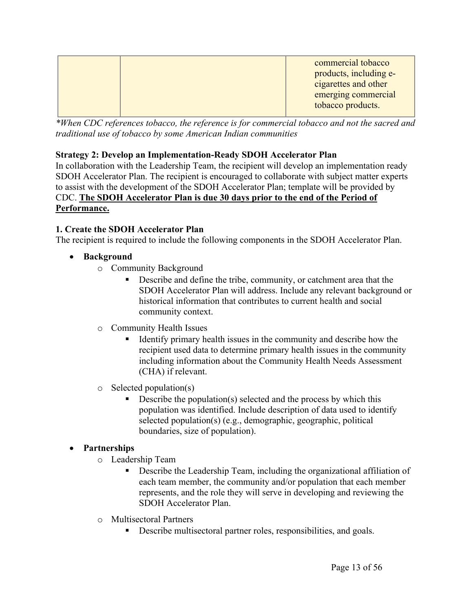| commercial tobacco<br>products, including e-<br>cigarettes and other<br>emerging commercial<br>tobacco products. |
|------------------------------------------------------------------------------------------------------------------|
|                                                                                                                  |
|                                                                                                                  |

*\*When CDC references tobacco, the reference is for commercial tobacco and not the sacred and traditional use of tobacco by some American Indian communities*

### **Strategy 2: Develop an Implementation-Ready SDOH Accelerator Plan**

In collaboration with the Leadership Team, the recipient will develop an implementation ready SDOH Accelerator Plan. The recipient is encouraged to collaborate with subject matter experts to assist with the development of the SDOH Accelerator Plan; template will be provided by CDC. **The SDOH Accelerator Plan is due 30 days prior to the end of the Period of Performance.**

### **1. Create the SDOH Accelerator Plan**

The recipient is required to include the following components in the SDOH Accelerator Plan.

- **Background**
	- o Community Background
		- Describe and define the tribe, community, or catchment area that the SDOH Accelerator Plan will address. Include any relevant background or historical information that contributes to current health and social community context.
	- o Community Health Issues
		- Identify primary health issues in the community and describe how the recipient used data to determine primary health issues in the community including information about the Community Health Needs Assessment (CHA) if relevant.
	- $\circ$  Selected population(s)
		- Describe the population(s) selected and the process by which this population was identified. Include description of data used to identify selected population(s) (e.g., demographic, geographic, political boundaries, size of population).

### **Partnerships**

- o Leadership Team
	- Describe the Leadership Team, including the organizational affiliation of each team member, the community and/or population that each member represents, and the role they will serve in developing and reviewing the SDOH Accelerator Plan.
- o Multisectoral Partners
	- Describe multisectoral partner roles, responsibilities, and goals.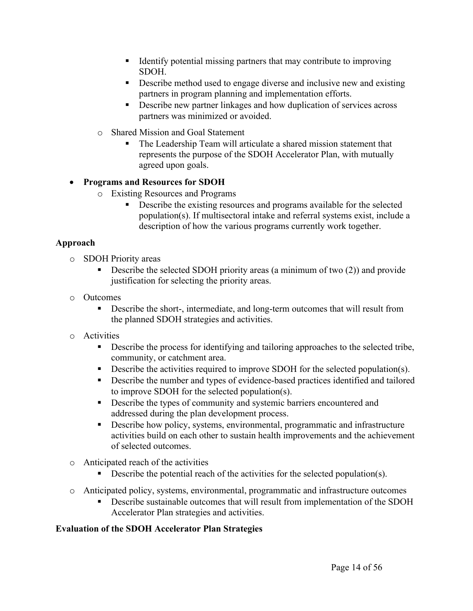- Identify potential missing partners that may contribute to improving SDOH.
- Describe method used to engage diverse and inclusive new and existing partners in program planning and implementation efforts.
- Describe new partner linkages and how duplication of services across partners was minimized or avoided.
- o Shared Mission and Goal Statement
	- The Leadership Team will articulate a shared mission statement that represents the purpose of the SDOH Accelerator Plan, with mutually agreed upon goals.

# **Programs and Resources for SDOH**

- o Existing Resources and Programs
	- Describe the existing resources and programs available for the selected population(s). If multisectoral intake and referral systems exist, include a description of how the various programs currently work together.

# **Approach**

- o SDOH Priority areas
	- Describe the selected SDOH priority areas (a minimum of two (2)) and provide justification for selecting the priority areas.
- o Outcomes
	- **Describe the short-, intermediate, and long-term outcomes that will result from** the planned SDOH strategies and activities.
- o Activities
	- Describe the process for identifying and tailoring approaches to the selected tribe, community, or catchment area.
	- Describe the activities required to improve SDOH for the selected population(s).
	- Describe the number and types of evidence-based practices identified and tailored to improve SDOH for the selected population(s).
	- Describe the types of community and systemic barriers encountered and addressed during the plan development process.
	- Describe how policy, systems, environmental, programmatic and infrastructure activities build on each other to sustain health improvements and the achievement of selected outcomes.
- o Anticipated reach of the activities
	- Describe the potential reach of the activities for the selected population(s).
- o Anticipated policy, systems, environmental, programmatic and infrastructure outcomes
	- Describe sustainable outcomes that will result from implementation of the SDOH Accelerator Plan strategies and activities.

### **Evaluation of the SDOH Accelerator Plan Strategies**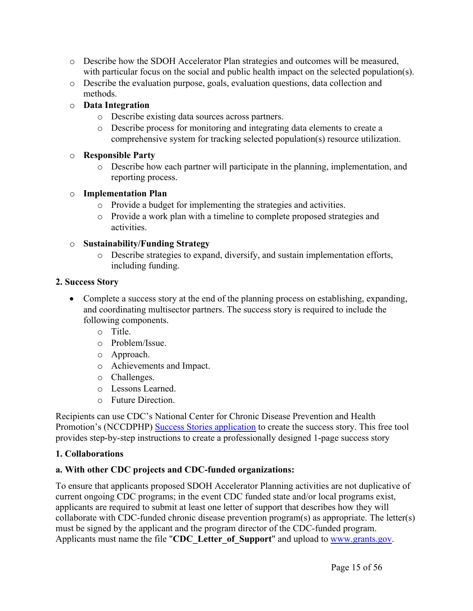- o Describe how the SDOH Accelerator Plan strategies and outcomes will be measured, with particular focus on the social and public health impact on the selected population(s).
- o Describe the evaluation purpose, goals, evaluation questions, data collection and methods.

### o **Data Integration**

- o Describe existing data sources across partners.
- o Describe process for monitoring and integrating data elements to create a comprehensive system for tracking selected population(s) resource utilization.

#### o **Responsible Party**

o Describe how each partner will participate in the planning, implementation, and reporting process.

#### o **Implementation Plan**

- o Provide a budget for implementing the strategies and activities.
- o Provide a work plan with a timeline to complete proposed strategies and activities.

#### o **Sustainability/Funding Strategy**

o Describe strategies to expand, diversify, and sustain implementation efforts, including funding.

#### **2. Success Story**

- Complete a success story at the end of the planning process on establishing, expanding, and coordinating multisector partners. The success story is required to include the following components.
	- o Title.
	- o Problem/Issue.
	- o Approach.
	- o Achievements and Impact.
	- o Challenges.
	- o Lessons Learned.
	- o Future Direction.

Recipients can use CDC's National Center for Chronic Disease Prevention and Health Promotion's (NCCDPHP) Success Stories [application](https://www.cdc.gov/chronicdisease/programs-impact/success-stories/index.htm) to create the success story. This free tool provides step-by-step instructions to create a professionally designed 1-page success story

### **1. Collaborations**

### **a. With other CDC projects and CDC-funded organizations:**

To ensure that applicants proposed SDOH Accelerator Planning activities are not duplicative of current ongoing CDC programs; in the event CDC funded state and/or local programs exist, applicants are required to submit at least one letter of support that describes how they will collaborate with CDC-funded chronic disease prevention program(s) as appropriate. The letter(s) must be signed by the applicant and the program director of the CDC-funded program. Applicants must name the file "**CDC\_Letter\_of\_Support**" and upload to [www.grants.gov](http://www.grants.gov/).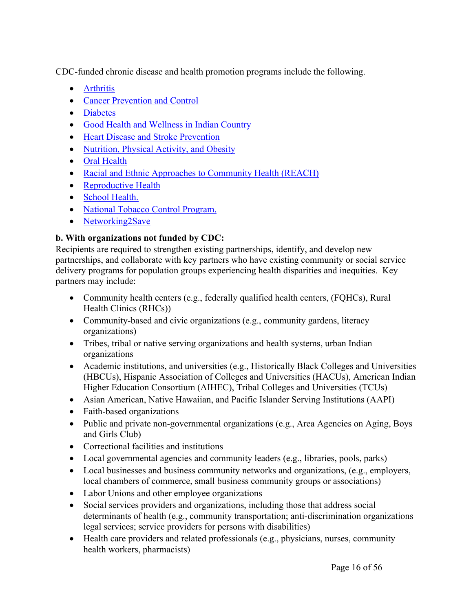CDC-funded chronic disease and health promotion programs include the following.

- [Arthritis](https://www.cdc.gov/arthritis/)
- Cancer [Prevention](https://www.cdc.gov/cancer/index.htm) and Control
- [Diabetes](https://www.cdc.gov/diabetes/index.html?CDC_AA_refVal=https%3A%2F%2Fwww.cdc.gov%2Fdiabetes%2Fhome%2Findex.html)
- Good Health and [Wellness](https://www.cdc.gov/healthytribes/ghwic.htm) in Indian Country
- Heart Disease and Stroke [Prevention](https://www.cdc.gov/dhdsp/)
- [Nutrition,](https://www.cdc.gov/nccdphp/dnpao/) Physical Activity, and Obesity
- Oral [Health](https://www.cdc.gov/oralhealthdata/)
- Racial and Ethnic Approaches to [Community](https://www.cdc.gov/nccdphp/dnpao/state-local-programs/reach/index.htm) Health (REACH)
- [Reproductive](https://www.cdc.gov/reproductivehealth/index.html) Health
- School [Health.](https://www.cdc.gov/healthyschools/)
- National Tobacco Control [Program.](https://www.cdc.gov/tobacco/)
- [Networking2Save](https://www.cdc.gov/tobacco/about/foa/national-networks-nofo/coop-agreement/index.html)

### **b. With organizations not funded by CDC:**

Recipients are required to strengthen existing partnerships, identify, and develop new partnerships, and collaborate with key partners who have existing community or social service delivery programs for population groups experiencing health disparities and inequities. Key partners may include:

- Community health centers (e.g., federally qualified health centers, (FQHCs), Rural Health Clinics (RHCs))
- Community-based and civic organizations (e.g., community gardens, literacy organizations)
- Tribes, tribal or native serving organizations and health systems, urban Indian organizations
- Academic institutions, and universities (e.g., Historically Black Colleges and Universities (HBCUs), Hispanic Association of Colleges and Universities (HACUs), American Indian Higher Education Consortium (AIHEC), Tribal Colleges and Universities (TCUs)
- Asian American, Native Hawaiian, and Pacific Islander Serving Institutions (AAPI)
- Faith-based organizations
- Public and private non-governmental organizations (e.g., Area Agencies on Aging, Boys and Girls Club)
- Correctional facilities and institutions
- Local governmental agencies and community leaders (e.g., libraries, pools, parks)
- Local businesses and business community networks and organizations, (e.g., employers, local chambers of commerce, small business community groups or associations)
- Labor Unions and other employee organizations
- Social services providers and organizations, including those that address social determinants of health (e.g., community transportation; anti-discrimination organizations legal services; service providers for persons with disabilities)
- Health care providers and related professionals (e.g., physicians, nurses, community health workers, pharmacists)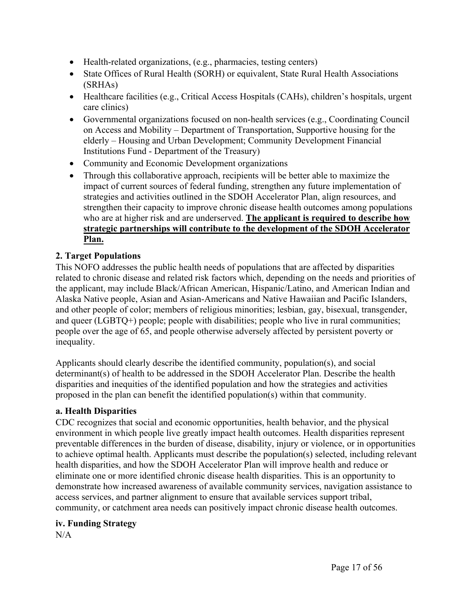- Health-related organizations, (e.g., pharmacies, testing centers)
- State Offices of Rural Health (SORH) or equivalent, State Rural Health Associations (SRHAs)
- Healthcare facilities (e.g., Critical Access Hospitals (CAHs), children's hospitals, urgent care clinics)
- Governmental organizations focused on non-health services (e.g., Coordinating Council on Access and Mobility – Department of Transportation, Supportive housing for the elderly – Housing and Urban Development; Community Development Financial Institutions Fund - Department of the Treasury)
- Community and Economic Development organizations
- Through this collaborative approach, recipients will be better able to maximize the impact of current sources of federal funding, strengthen any future implementation of strategies and activities outlined in the SDOH Accelerator Plan, align resources, and strengthen their capacity to improve chronic disease health outcomes among populations who are at higher risk and are underserved. **The applicant is required to describe how strategic partnerships will contribute to the development of the SDOH Accelerator Plan.**

### **2. Target Populations**

This NOFO addresses the public health needs of populations that are affected by disparities related to chronic disease and related risk factors which, depending on the needs and priorities of the applicant, may include Black/African American, Hispanic/Latino, and American Indian and Alaska Native people, Asian and Asian-Americans and Native Hawaiian and Pacific Islanders, and other people of color; members of religious minorities; lesbian, gay, bisexual, transgender, and queer (LGBTQ+) people; people with disabilities; people who live in rural communities; people over the age of 65, and people otherwise adversely affected by persistent poverty or inequality.

Applicants should clearly describe the identified community, population(s), and social determinant(s) of health to be addressed in the SDOH Accelerator Plan. Describe the health disparities and inequities of the identified population and how the strategies and activities proposed in the plan can benefit the identified population(s) within that community.

### **a. Health Disparities**

CDC recognizes that social and economic opportunities, health behavior, and the physical environment in which people live greatly impact health outcomes. Health disparities represent preventable differences in the burden of disease, disability, injury or violence, or in opportunities to achieve optimal health. Applicants must describe the population(s) selected, including relevant health disparities, and how the SDOH Accelerator Plan will improve health and reduce or eliminate one or more identified chronic disease health disparities. This is an opportunity to demonstrate how increased awareness of available community services, navigation assistance to access services, and partner alignment to ensure that available services support tribal, community, or catchment area needs can positively impact chronic disease health outcomes.

### **iv. Funding Strategy**

 $N/A$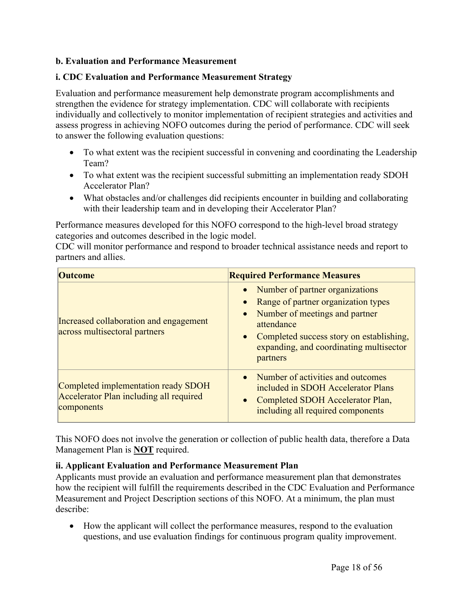#### **b. Evaluation and Performance Measurement**

#### **i. CDC Evaluation and Performance Measurement Strategy**

Evaluation and performance measurement help demonstrate program accomplishments and strengthen the evidence for strategy implementation. CDC will collaborate with recipients individually and collectively to monitor implementation of recipient strategies and activities and assess progress in achieving NOFO outcomes during the period of performance. CDC will seek to answer the following evaluation questions:

- To what extent was the recipient successful in convening and coordinating the Leadership Team?
- To what extent was the recipient successful submitting an implementation ready SDOH Accelerator Plan?
- What obstacles and/or challenges did recipients encounter in building and collaborating with their leadership team and in developing their Accelerator Plan?

Performance measures developed for this NOFO correspond to the high-level broad strategy categories and outcomes described in the logic model.

CDC will monitor performance and respond to broader technical assistance needs and report to partners and allies.

| <b>Outcome</b>                                                                               | <b>Required Performance Measures</b>                                                                                                                                                                                                                    |
|----------------------------------------------------------------------------------------------|---------------------------------------------------------------------------------------------------------------------------------------------------------------------------------------------------------------------------------------------------------|
| Increased collaboration and engagement<br>across multisectoral partners                      | • Number of partner organizations<br>Range of partner organization types<br>$\bullet$<br>Number of meetings and partner<br>$\bullet$<br>attendance<br>• Completed success story on establishing,<br>expanding, and coordinating multisector<br>partners |
| Completed implementation ready SDOH<br>Accelerator Plan including all required<br>components | • Number of activities and outcomes<br>included in SDOH Accelerator Plans<br>Completed SDOH Accelerator Plan,<br>$\bullet$<br>including all required components                                                                                         |

This NOFO does not involve the generation or collection of public health data, therefore a Data Management Plan is **NOT** required.

### **ii. Applicant Evaluation and Performance Measurement Plan**

Applicants must provide an evaluation and performance measurement plan that demonstrates how the recipient will fulfill the requirements described in the CDC Evaluation and Performance Measurement and Project Description sections of this NOFO. At a minimum, the plan must describe:

 How the applicant will collect the performance measures, respond to the evaluation questions, and use evaluation findings for continuous program quality improvement.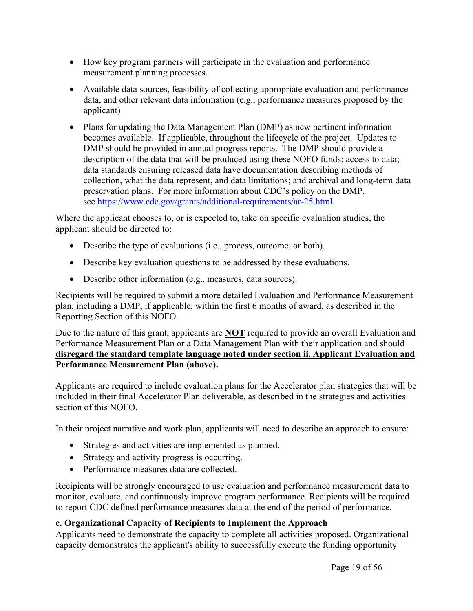- How key program partners will participate in the evaluation and performance measurement planning processes.
- Available data sources, feasibility of collecting appropriate evaluation and performance data, and other relevant data information (e.g., performance measures proposed by the applicant)
- Plans for updating the Data Management Plan (DMP) as new pertinent information becomes available. If applicable, throughout the lifecycle of the project. Updates to DMP should be provided in annual progress reports. The DMP should provide a description of the data that will be produced using these NOFO funds; access to data; data standards ensuring released data have documentation describing methods of collection, what the data represent, and data limitations; and archival and long-term data preservation plans. For more information about CDC's policy on the DMP, see [https://www.cdc.gov/grants/additional-requirements/ar-25.html.](https://www.cdc.gov/grants/additional-requirements/ar-25.html)

Where the applicant chooses to, or is expected to, take on specific evaluation studies, the applicant should be directed to:

- Describe the type of evaluations (i.e., process, outcome, or both).
- Describe key evaluation questions to be addressed by these evaluations.
- Describe other information (e.g., measures, data sources).

Recipients will be required to submit a more detailed Evaluation and Performance Measurement plan, including a DMP, if applicable, within the first 6 months of award, as described in the Reporting Section of this NOFO.

Due to the nature of this grant, applicants are **NOT** required to provide an overall Evaluation and Performance Measurement Plan or a Data Management Plan with their application and should **disregard the standard template language noted under section ii. Applicant Evaluation and Performance Measurement Plan (above).**

Applicants are required to include evaluation plans for the Accelerator plan strategies that will be included in their final Accelerator Plan deliverable, as described in the strategies and activities section of this NOFO.

In their project narrative and work plan, applicants will need to describe an approach to ensure:

- Strategies and activities are implemented as planned.
- Strategy and activity progress is occurring.
- Performance measures data are collected

Recipients will be strongly encouraged to use evaluation and performance measurement data to monitor, evaluate, and continuously improve program performance. Recipients will be required to report CDC defined performance measures data at the end of the period of performance.

### **c. Organizational Capacity of Recipients to Implement the Approach**

Applicants need to demonstrate the capacity to complete all activities proposed. Organizational capacity demonstrates the applicant's ability to successfully execute the funding opportunity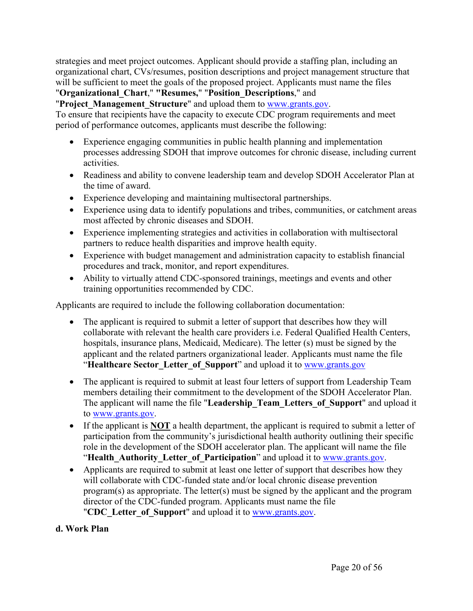strategies and meet project outcomes. Applicant should provide a staffing plan, including an organizational chart, CVs/resumes, position descriptions and project management structure that will be sufficient to meet the goals of the proposed project. Applicants must name the files

# "**Organizational\_Chart**," **"Resumes,**" "**Position\_Descriptions**," and

"**Project\_Management\_Structure**" and upload them to [www.grants.gov](http://www.grants.gov).

To ensure that recipients have the capacity to execute CDC program requirements and meet period of performance outcomes, applicants must describe the following:

- Experience engaging communities in public health planning and implementation processes addressing SDOH that improve outcomes for chronic disease, including current activities.
- Readiness and ability to convene leadership team and develop SDOH Accelerator Plan at the time of award.
- Experience developing and maintaining multisectoral partnerships.
- Experience using data to identify populations and tribes, communities, or catchment areas most affected by chronic diseases and SDOH.
- Experience implementing strategies and activities in collaboration with multisectoral partners to reduce health disparities and improve health equity.
- Experience with budget management and administration capacity to establish financial procedures and track, monitor, and report expenditures.
- Ability to virtually attend CDC-sponsored trainings, meetings and events and other training opportunities recommended by CDC.

Applicants are required to include the following collaboration documentation:

- The applicant is required to submit a letter of support that describes how they will collaborate with relevant the health care providers i.e. Federal Qualified Health Centers, hospitals, insurance plans, Medicaid, Medicare). The letter (s) must be signed by the applicant and the related partners organizational leader. Applicants must name the file "**Healthcare Sector\_Letter\_of\_Support**" and upload it to [www.grants.gov](http://www.grants.gov)
- The applicant is required to submit at least four letters of support from Leadership Team members detailing their commitment to the development of the SDOH Accelerator Plan. The applicant will name the file "**Leadership\_Team\_Letters\_of\_Support**" and upload it to [www.grants.gov.](http://www.grants.gov/)
- If the applicant is **NOT** a health department, the applicant is required to submit a letter of participation from the community's jurisdictional health authority outlining their specific role in the development of the SDOH accelerator plan. The applicant will name the file "Health Authority Letter of Participation" and upload it to [www.grants.gov.](http://www.grants.gov)
- Applicants are required to submit at least one letter of support that describes how they will collaborate with CDC-funded state and/or local chronic disease prevention program(s) as appropriate. The letter(s) must be signed by the applicant and the program director of the CDC-funded program. Applicants must name the file "**CDC\_Letter\_of\_Support**" and upload it to [www.grants.gov](http://www.grants.gov/).

#### **d. Work Plan**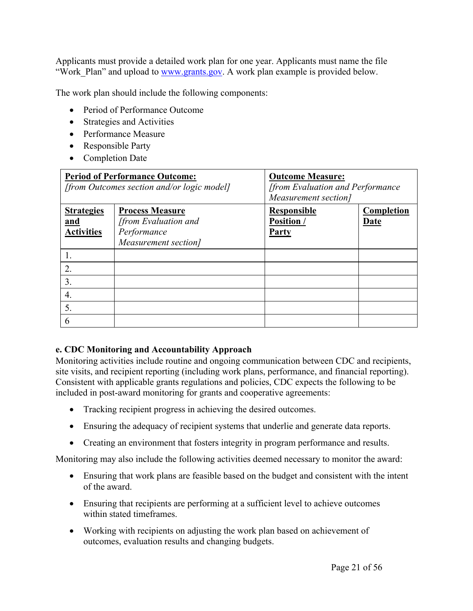Applicants must provide a detailed work plan for one year. Applicants must name the file "Work Plan" and upload to [www.grants.gov.](http://www.grants.gov) A work plan example is provided below.

The work plan should include the following components:

- Period of Performance Outcome
- Strategies and Activities
- Performance Measure
- Responsible Party
- Completion Date

| <b>Period of Performance Outcome:</b><br>[from Outcomes section and/or logic model] |                                                                                       | <b>Outcome Measure:</b><br>[from Evaluation and Performance]<br>Measurement section] |                    |
|-------------------------------------------------------------------------------------|---------------------------------------------------------------------------------------|--------------------------------------------------------------------------------------|--------------------|
| <b>Strategies</b><br>and<br><b>Activities</b>                                       | <b>Process Measure</b><br>[from Evaluation and<br>Performance<br>Measurement section] | <b>Responsible</b><br><b>Position</b> /<br><b>Party</b>                              | Completion<br>Date |
| 2.                                                                                  |                                                                                       |                                                                                      |                    |
| 3.<br>4.                                                                            |                                                                                       |                                                                                      |                    |
| 5.<br>6                                                                             |                                                                                       |                                                                                      |                    |

#### **e. CDC Monitoring and Accountability Approach**

Monitoring activities include routine and ongoing communication between CDC and recipients, site visits, and recipient reporting (including work plans, performance, and financial reporting). Consistent with applicable grants regulations and policies, CDC expects the following to be included in post-award monitoring for grants and cooperative agreements:

- Tracking recipient progress in achieving the desired outcomes.
- Ensuring the adequacy of recipient systems that underlie and generate data reports.
- Creating an environment that fosters integrity in program performance and results.

Monitoring may also include the following activities deemed necessary to monitor the award:

- Ensuring that work plans are feasible based on the budget and consistent with the intent of the award.
- Ensuring that recipients are performing at a sufficient level to achieve outcomes within stated timeframes.
- Working with recipients on adjusting the work plan based on achievement of outcomes, evaluation results and changing budgets.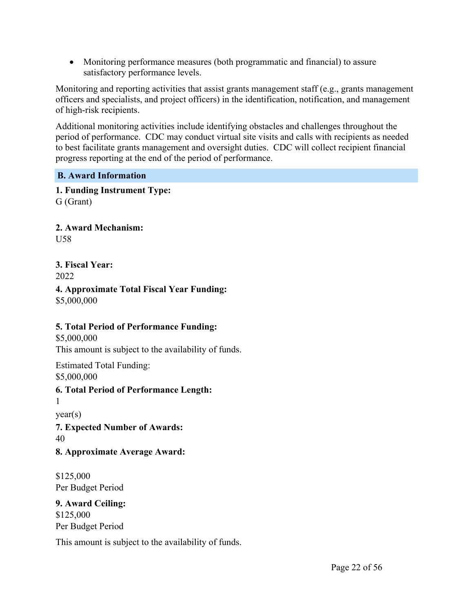Monitoring performance measures (both programmatic and financial) to assure satisfactory performance levels.

Monitoring and reporting activities that assist grants management staff (e.g., grants management officers and specialists, and project officers) in the identification, notification, and management of high-risk recipients.

Additional monitoring activities include identifying obstacles and challenges throughout the period of performance. CDC may conduct virtual site visits and calls with recipients as needed to best facilitate grants management and oversight duties. CDC will collect recipient financial progress reporting at the end of the period of performance.

#### <span id="page-22-0"></span>**B. Award Information**

**1. Funding Instrument Type:** G (Grant)

**2. Award Mechanism:** U58

**3. Fiscal Year:**

2022

**4. Approximate Total Fiscal Year Funding:** \$5,000,000

#### **5. Total Period of Performance Funding:**

\$5,000,000

This amount is subject to the availability of funds.

Estimated Total Funding: \$5,000,000

**6. Total Period of Performance Length:**

1

year(s)

**7. Expected Number of Awards:** 40

**8. Approximate Average Award:**

\$125,000 Per Budget Period

**9. Award Ceiling:** \$125,000 Per Budget Period

This amount is subject to the availability of funds.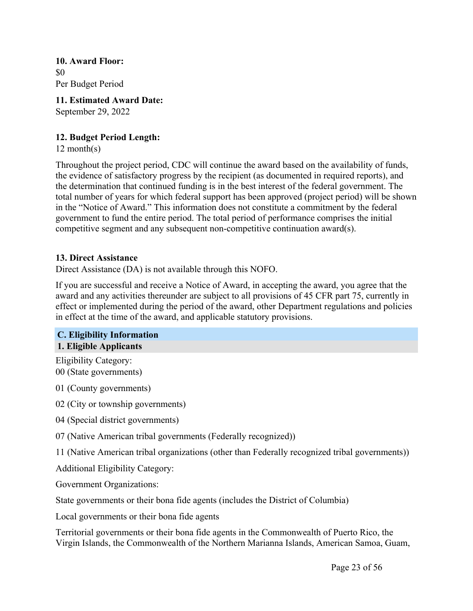**10. Award Floor:** \$0 Per Budget Period

**11. Estimated Award Date:** September 29, 2022

#### **12. Budget Period Length:**

12 month(s)

Throughout the project period, CDC will continue the award based on the availability of funds, the evidence of satisfactory progress by the recipient (as documented in required reports), and the determination that continued funding is in the best interest of the federal government. The total number of years for which federal support has been approved (project period) will be shown in the "Notice of Award." This information does not constitute a commitment by the federal government to fund the entire period. The total period of performance comprises the initial competitive segment and any subsequent non-competitive continuation award(s).

#### **13. Direct Assistance**

Direct Assistance (DA) is not available through this NOFO.

If you are successful and receive a Notice of Award, in accepting the award, you agree that the award and any activities thereunder are subject to all provisions of 45 CFR part 75, currently in effect or implemented during the period of the award, other Department regulations and policies in effect at the time of the award, and applicable statutory provisions.

#### <span id="page-23-0"></span>**C. Eligibility Information 1. Eligible Applicants**

Eligibility Category: 00 (State governments)

01 (County governments)

02 (City or township governments)

04 (Special district governments)

07 (Native American tribal governments (Federally recognized))

11 (Native American tribal organizations (other than Federally recognized tribal governments))

Additional Eligibility Category:

Government Organizations:

State governments or their bona fide agents (includes the District of Columbia)

Local governments or their bona fide agents

Territorial governments or their bona fide agents in the Commonwealth of Puerto Rico, the Virgin Islands, the Commonwealth of the Northern Marianna Islands, American Samoa, Guam,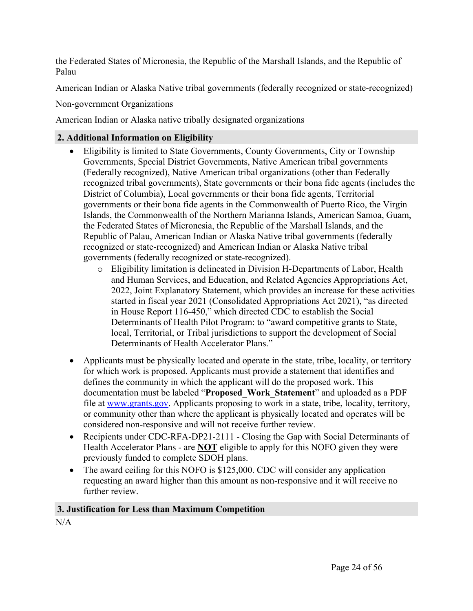the Federated States of Micronesia, the Republic of the Marshall Islands, and the Republic of Palau

American Indian or Alaska Native tribal governments (federally recognized or state-recognized)

Non-government Organizations

American Indian or Alaska native tribally designated organizations

# **2. Additional Information on Eligibility**

- Eligibility is limited to State Governments, County Governments, City or Township Governments, Special District Governments, Native American tribal governments (Federally recognized), Native American tribal organizations (other than Federally recognized tribal governments), State governments or their bona fide agents (includes the District of Columbia), Local governments or their bona fide agents, Territorial governments or their bona fide agents in the Commonwealth of Puerto Rico, the Virgin Islands, the Commonwealth of the Northern Marianna Islands, American Samoa, Guam, the Federated States of Micronesia, the Republic of the Marshall Islands, and the Republic of Palau, American Indian or Alaska Native tribal governments (federally recognized or state-recognized) and American Indian or Alaska Native tribal governments (federally recognized or state-recognized).
	- o Eligibility limitation is delineated in Division H-Departments of Labor, Health and Human Services, and Education, and Related Agencies Appropriations Act, 2022, Joint Explanatory Statement, which provides an increase for these activities started in fiscal year 2021 (Consolidated Appropriations Act 2021), "as directed in House Report 116-450," which directed CDC to establish the Social Determinants of Health Pilot Program: to "award competitive grants to State, local, Territorial, or Tribal jurisdictions to support the development of Social Determinants of Health Accelerator Plans."
- Applicants must be physically located and operate in the state, tribe, locality, or territory for which work is proposed. Applicants must provide a statement that identifies and defines the community in which the applicant will do the proposed work. This documentation must be labeled "**Proposed\_Work\_Statement**" and uploaded as a PDF file at [www.grants.gov.](http://www.grants.gov) Applicants proposing to work in a state, tribe, locality, territory, or community other than where the applicant is physically located and operates will be considered non-responsive and will not receive further review.
- Recipients under CDC-RFA-DP21-2111 Closing the Gap with Social Determinants of Health Accelerator Plans - are **NOT** eligible to apply for this NOFO given they were previously funded to complete SDOH plans.
- The award ceiling for this NOFO is \$125,000. CDC will consider any application requesting an award higher than this amount as non-responsive and it will receive no further review

# **3. Justification for Less than Maximum Competition**

N/A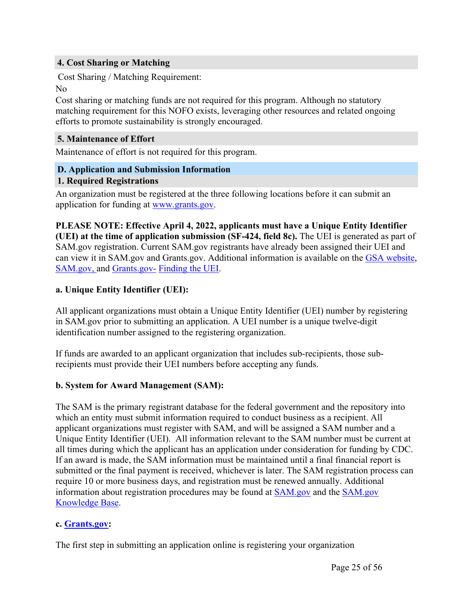#### **4. Cost Sharing or Matching**

Cost Sharing / Matching Requirement: No

Cost sharing or matching funds are not required for this program. Although no statutory matching requirement for this NOFO exists, leveraging other resources and related ongoing efforts to promote sustainability is strongly encouraged.

#### **5. Maintenance of Effort**

Maintenance of effort is not required for this program.

#### <span id="page-25-0"></span>**D. Application and Submission Information**

#### **1. Required Registrations**

An organization must be registered at the three following locations before it can submit an application for funding at [www.grants.gov.](https://www.grants.gov/)

**PLEASE NOTE: Effective April 4, 2022, applicants must have a Unique Entity Identifier (UEI) at the time of application submission (SF-424, field 8c).** The UEI is generated as part of SAM.gov registration. Current SAM.gov registrants have already been assigned their UEI and can view it in SAM.gov and Grants.gov. Additional information is available on the GSA [website,](https://www.gsa.gov/about-us/organization/federal-acquisition-service/office-of-systems-management/integrated-award-environment-iae/iae-systems-information-kit/unique-entity-identifier-update) [SAM.gov,](https://sam.gov/content/home) and [Grants.gov-](https://grantsgovprod.wordpress.com/2021/09/14/how-to-find-an-applicants-uei-within-grants-gov/) [Finding](https://grantsgovprod.wordpress.com/2021/09/14/how-to-find-an-applicants-uei-within-grants-gov/) the UEI.

#### **a. Unique Entity Identifier (UEI):**

All applicant organizations must obtain a Unique Entity Identifier (UEI) number by registering in SAM.gov prior to submitting an application. A UEI number is a unique twelve-digit identification number assigned to the registering organization.

If funds are awarded to an applicant organization that includes sub-recipients, those subrecipients must provide their UEI numbers before accepting any funds.

#### **b. System for Award Management (SAM):**

The SAM is the primary registrant database for the federal government and the repository into which an entity must submit information required to conduct business as a recipient. All applicant organizations must register with SAM, and will be assigned a SAM number and a Unique Entity Identifier (UEI). All information relevant to the SAM number must be current at all times during which the applicant has an application under consideration for funding by CDC. If an award is made, the SAM information must be maintained until a final financial report is submitted or the final payment is received, whichever is later. The SAM registration process can require 10 or more business days, and registration must be renewed annually. Additional information about registration procedures may be found at [SAM.gov](https://sam.gov/content/home) and the [SAM.gov](https://nam12.safelinks.protection.outlook.com/?url=https%3A%2F%2Fwww.fsd.gov%2Fgsafsd_sp%3Fid%3Dgsa_kb_view2%26kb_id%3Df66d8e6cdb76d4100d73f81d0f9619c6&data=04%7C01%7Ccshifflett%40dminc.com%7C8eee7a2adab549a3b3c008d925e9a364%7Cdb7ac9ef779d46e59bca00509580ad6b%7C0%7C0%7C637582507851821018%7CUnknown%7CTWFpbGZsb3d8eyJWIjoiMC4wLjAwMDAiLCJQIjoiV2luMzIiLCJBTiI6Ik1haWwiLCJXVCI6Mn0%3D%7C1000&sdata=UrR%2B%2FM2wWF2fZG05Z8O6JS2C3FXXSl%2F7B3%2FB45XHRrg%3D&reserved=0) [Knowledge](https://nam12.safelinks.protection.outlook.com/?url=https%3A%2F%2Fwww.fsd.gov%2Fgsafsd_sp%3Fid%3Dgsa_kb_view2%26kb_id%3Df66d8e6cdb76d4100d73f81d0f9619c6&data=04%7C01%7Ccshifflett%40dminc.com%7C8eee7a2adab549a3b3c008d925e9a364%7Cdb7ac9ef779d46e59bca00509580ad6b%7C0%7C0%7C637582507851821018%7CUnknown%7CTWFpbGZsb3d8eyJWIjoiMC4wLjAwMDAiLCJQIjoiV2luMzIiLCJBTiI6Ik1haWwiLCJXVCI6Mn0%3D%7C1000&sdata=UrR%2B%2FM2wWF2fZG05Z8O6JS2C3FXXSl%2F7B3%2FB45XHRrg%3D&reserved=0) Base.

#### **c. [Grants.gov](https://grants.gov/):**

The first step in submitting an application online is registering your organization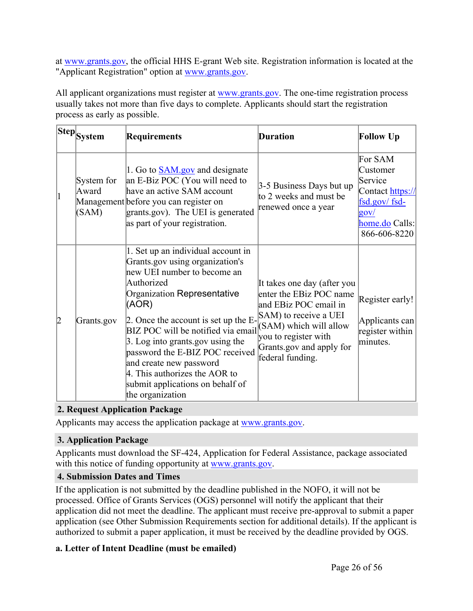at [www.grants.gov,](https://www.grants.gov/) the official HHS E-grant Web site. Registration information is located at the "Applicant Registration" option at [www.grants.gov](http://www.grants.gov/).

All applicant organizations must register at [www.grants.gov](https://www.grants.gov/). The one-time registration process usually takes not more than five days to complete. Applicants should start the registration process as early as possible.

|                | Step System                  | <b>Requirements</b>                                                                                                                                                                                                                                                                                                                                                                                                                 | <b>Duration</b>                                                                                                                                                                                              | <b>Follow Up</b>                                                                                                        |
|----------------|------------------------------|-------------------------------------------------------------------------------------------------------------------------------------------------------------------------------------------------------------------------------------------------------------------------------------------------------------------------------------------------------------------------------------------------------------------------------------|--------------------------------------------------------------------------------------------------------------------------------------------------------------------------------------------------------------|-------------------------------------------------------------------------------------------------------------------------|
| $\vert$ 1      | System for<br>Award<br>(SAM) | 1. Go to <b>SAM</b> gov and designate<br>an E-Biz POC (You will need to<br>have an active SAM account<br>Management before you can register on<br>grants.gov). The UEI is generated<br>as part of your registration.                                                                                                                                                                                                                | 3-5 Business Days but up<br>to 2 weeks and must be<br>renewed once a year                                                                                                                                    | For SAM<br>Customer<br>Service<br>Contact https://<br>$fsd.gov/fsd-$<br>$g_{\rm OV}/$<br>home.do Calls:<br>866-606-8220 |
| $\overline{2}$ | Grants.gov                   | 1. Set up an individual account in<br>Grants gov using organization's<br>new UEI number to become an<br>Authorized<br>Organization Representative<br>(AOR)<br>2. Once the account is set up the E-<br>BIZ POC will be notified via email<br>3. Log into grants gov using the<br>password the E-BIZ POC received<br>and create new password<br>4. This authorizes the AOR to<br>submit applications on behalf of<br>the organization | It takes one day (after you<br>enter the EBiz POC name<br>and EBiz POC email in<br>SAM) to receive a UEI<br>$(SAM)$ which will allow<br>you to register with<br>Grants.gov and apply for<br>federal funding. | Register early!<br>Applicants can<br>register within<br>minutes.                                                        |

# **2. Request Application Package**

Applicants may access the application package at [www.grants.gov.](https://www.grants.gov/)

### **3. Application Package**

Applicants must download the SF-424, Application for Federal Assistance, package associated with this notice of funding opportunity at [www.grants.gov](https://www.grants.gov/).

#### **4. Submission Dates and Times**

If the application is not submitted by the deadline published in the NOFO, it will not be processed. Office of Grants Services (OGS) personnel will notify the applicant that their application did not meet the deadline. The applicant must receive pre-approval to submit a paper application (see Other Submission Requirements section for additional details). If the applicant is authorized to submit a paper application, it must be received by the deadline provided by OGS.

#### **a. Letter of Intent Deadline (must be emailed)**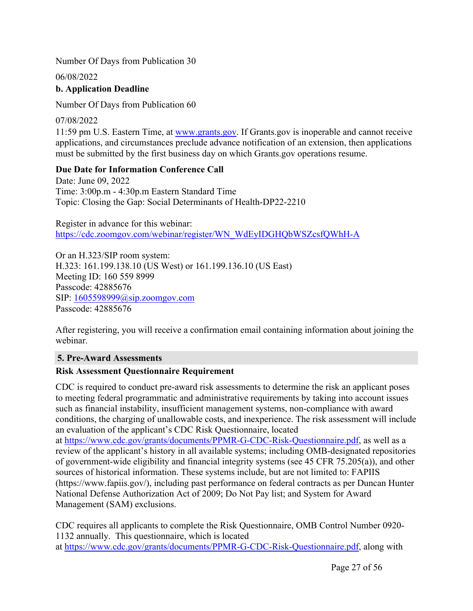Number Of Days from Publication 30

06/08/2022 **b. Application Deadline**

Number Of Days from Publication 60

07/08/2022 11:59 pm U.S. Eastern Time, at [www.grants.gov](https://www.grants.gov/). If Grants.gov is inoperable and cannot receive applications, and circumstances preclude advance notification of an extension, then applications must be submitted by the first business day on which Grants.gov operations resume.

#### **Due Date for Information Conference Call**

Date: June 09, 2022 Time: 3:00p.m - 4:30p.m Eastern Standard Time Topic: Closing the Gap: Social Determinants of Health-DP22-2210

Register in advance for this webinar: [https://cdc.zoomgov.com/webinar/register/WN\\_WdEyIDGHQbWSZcsfQWhH-A](https://cdc.zoomgov.com/webinar/register/WN_WdEyIDGHQbWSZcsfQWhH-A)

Or an H.323/SIP room system: H.323: 161.199.138.10 (US West) or 161.199.136.10 (US East) Meeting ID: 160 559 8999 Passcode: 42885676 SIP: [1605598999@sip.zoomgov.com](mailto:1605598999@sip.zoomgov.com) Passcode: 42885676

After registering, you will receive a confirmation email containing information about joining the webinar.

#### **5. Pre-Award Assessments**

#### **Risk Assessment Questionnaire Requirement**

CDC is required to conduct pre-award risk assessments to determine the risk an applicant poses to meeting federal programmatic and administrative requirements by taking into account issues such as financial instability, insufficient management systems, non-compliance with award conditions, the charging of unallowable costs, and inexperience. The risk assessment will include an evaluation of the applicant's CDC Risk Questionnaire, located

at [https://www.cdc.gov/grants/documents/PPMR-G-CDC-Risk-Questionnaire.pdf,](https://www.cdc.gov/grants/documents/PPMR-G-CDC-Risk-Questionnaire.pdf) as well as a review of the applicant's history in all available systems; including OMB-designated repositories of government-wide eligibility and financial integrity systems (see 45 CFR 75.205(a)), and other sources of historical information. These systems include, but are not limited to: FAPIIS (https://www.fapiis.gov/), including past performance on federal contracts as per Duncan Hunter National Defense Authorization Act of 2009; Do Not Pay list; and System for Award Management (SAM) exclusions.

CDC requires all applicants to complete the Risk Questionnaire, OMB Control Number 0920- 1132 annually. This questionnaire, which is located at [https://www.cdc.gov/grants/documents/PPMR-G-CDC-Risk-Questionnaire.pdf,](https://www.cdc.gov/grants/documents/PPMR-G-CDC-Risk-Questionnaire.pdf) along with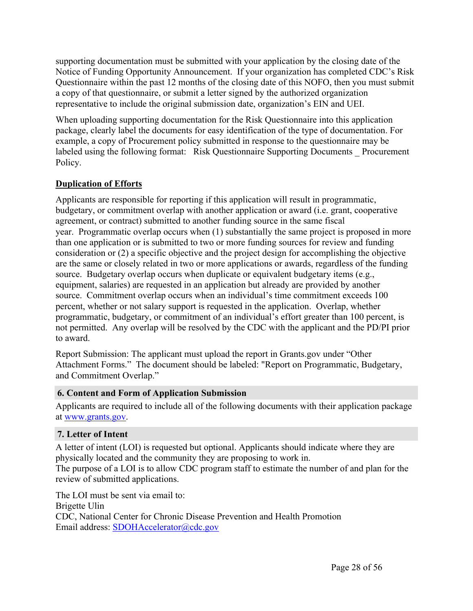supporting documentation must be submitted with your application by the closing date of the Notice of Funding Opportunity Announcement. If your organization has completed CDC's Risk Questionnaire within the past 12 months of the closing date of this NOFO, then you must submit a copy of that questionnaire, or submit a letter signed by the authorized organization representative to include the original submission date, organization's EIN and UEI.

When uploading supporting documentation for the Risk Questionnaire into this application package, clearly label the documents for easy identification of the type of documentation. For example, a copy of Procurement policy submitted in response to the questionnaire may be labeled using the following format: Risk Questionnaire Supporting Documents \_ Procurement Policy.

### **Duplication of Efforts**

Applicants are responsible for reporting if this application will result in programmatic, budgetary, or commitment overlap with another application or award (i.e. grant, cooperative agreement, or contract) submitted to another funding source in the same fiscal year. Programmatic overlap occurs when (1) substantially the same project is proposed in more than one application or is submitted to two or more funding sources for review and funding consideration or (2) a specific objective and the project design for accomplishing the objective are the same or closely related in two or more applications or awards, regardless of the funding source. Budgetary overlap occurs when duplicate or equivalent budgetary items (e.g., equipment, salaries) are requested in an application but already are provided by another source. Commitment overlap occurs when an individual's time commitment exceeds 100 percent, whether or not salary support is requested in the application. Overlap, whether programmatic, budgetary, or commitment of an individual's effort greater than 100 percent, is not permitted. Any overlap will be resolved by the CDC with the applicant and the PD/PI prior to award.

Report Submission: The applicant must upload the report in Grants.gov under "Other Attachment Forms." The document should be labeled: "Report on Programmatic, Budgetary, and Commitment Overlap."

#### **6. Content and Form of Application Submission**

Applicants are required to include all of the following documents with their application package at [www.grants.gov.](https://www.grants.gov/)

### **7. Letter of Intent**

A letter of intent (LOI) is requested but optional. Applicants should indicate where they are physically located and the community they are proposing to work in.

The purpose of a LOI is to allow CDC program staff to estimate the number of and plan for the review of submitted applications.

The LOI must be sent via email to: Brigette Ulin CDC, National Center for Chronic Disease Prevention and Health Promotion Email address: [SDOHAccelerator@cdc.gov](mailto:SDOHAccelerator@cdc.gov)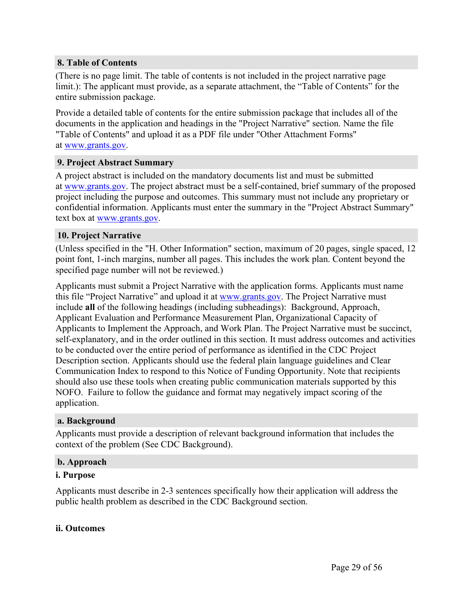#### **8. Table of Contents**

(There is no page limit. The table of contents is not included in the project narrative page limit.): The applicant must provide, as a separate attachment, the "Table of Contents" for the entire submission package.

Provide a detailed table of contents for the entire submission package that includes all of the documents in the application and headings in the "Project Narrative" section. Name the file "Table of Contents" and upload it as a PDF file under "Other Attachment Forms" at [www.grants.gov.](https://www.grants.gov/)

#### **9. Project Abstract Summary**

A project abstract is included on the mandatory documents list and must be submitted at [www.grants.gov.](https://www.grants.gov/) The project abstract must be a self-contained, brief summary of the proposed project including the purpose and outcomes. This summary must not include any proprietary or confidential information. Applicants must enter the summary in the "Project Abstract Summary" text box at [www.grants.gov.](https://www.grants.gov/)

#### **10. Project Narrative**

(Unless specified in the "H. Other Information" section, maximum of 20 pages, single spaced, 12 point font, 1-inch margins, number all pages. This includes the work plan. Content beyond the specified page number will not be reviewed.)

Applicants must submit a Project Narrative with the application forms. Applicants must name this file "Project Narrative" and upload it at [www.grants.gov.](https://www.grants.gov/) The Project Narrative must include **all** of the following headings (including subheadings): Background, Approach, Applicant Evaluation and Performance Measurement Plan, Organizational Capacity of Applicants to Implement the Approach, and Work Plan. The Project Narrative must be succinct, self-explanatory, and in the order outlined in this section. It must address outcomes and activities to be conducted over the entire period of performance as identified in the CDC Project Description section. Applicants should use the federal plain language guidelines and Clear Communication Index to respond to this Notice of Funding Opportunity. Note that recipients should also use these tools when creating public communication materials supported by this NOFO. Failure to follow the guidance and format may negatively impact scoring of the application.

#### **a. Background**

Applicants must provide a description of relevant background information that includes the context of the problem (See CDC Background).

#### **b. Approach**

#### **i. Purpose**

Applicants must describe in 2-3 sentences specifically how their application will address the public health problem as described in the CDC Background section.

#### **ii. Outcomes**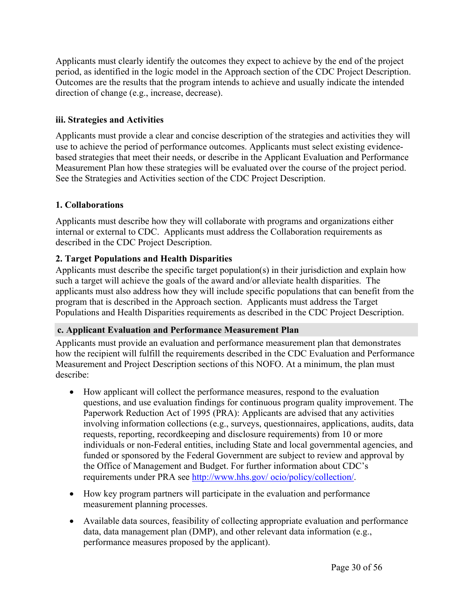Applicants must clearly identify the outcomes they expect to achieve by the end of the project period, as identified in the logic model in the Approach section of the CDC Project Description. Outcomes are the results that the program intends to achieve and usually indicate the intended direction of change (e.g., increase, decrease).

#### **iii. Strategies and Activities**

Applicants must provide a clear and concise description of the strategies and activities they will use to achieve the period of performance outcomes. Applicants must select existing evidencebased strategies that meet their needs, or describe in the Applicant Evaluation and Performance Measurement Plan how these strategies will be evaluated over the course of the project period. See the Strategies and Activities section of the CDC Project Description.

### **1. Collaborations**

Applicants must describe how they will collaborate with programs and organizations either internal or external to CDC. Applicants must address the Collaboration requirements as described in the CDC Project Description.

### **2. Target Populations and Health Disparities**

Applicants must describe the specific target population(s) in their jurisdiction and explain how such a target will achieve the goals of the award and/or alleviate health disparities. The applicants must also address how they will include specific populations that can benefit from the program that is described in the Approach section. Applicants must address the Target Populations and Health Disparities requirements as described in the CDC Project Description.

#### **c. Applicant Evaluation and Performance Measurement Plan**

Applicants must provide an evaluation and performance measurement plan that demonstrates how the recipient will fulfill the requirements described in the CDC Evaluation and Performance Measurement and Project Description sections of this NOFO. At a minimum, the plan must describe:

- How applicant will collect the performance measures, respond to the evaluation questions, and use evaluation findings for continuous program quality improvement. The Paperwork Reduction Act of 1995 (PRA): Applicants are advised that any activities involving information collections (e.g., surveys, questionnaires, applications, audits, data requests, reporting, recordkeeping and disclosure requirements) from 10 or more individuals or non-Federal entities, including State and local governmental agencies, and funded or sponsored by the Federal Government are subject to review and approval by the Office of Management and Budget. For further information about CDC's requirements under PRA see http://www.hhs.gov/ [ocio/policy/collection/](http://www.hhs.gov/ocio/policy/collection/).
- How key program partners will participate in the evaluation and performance measurement planning processes.
- Available data sources, feasibility of collecting appropriate evaluation and performance data, data management plan (DMP), and other relevant data information (e.g., performance measures proposed by the applicant).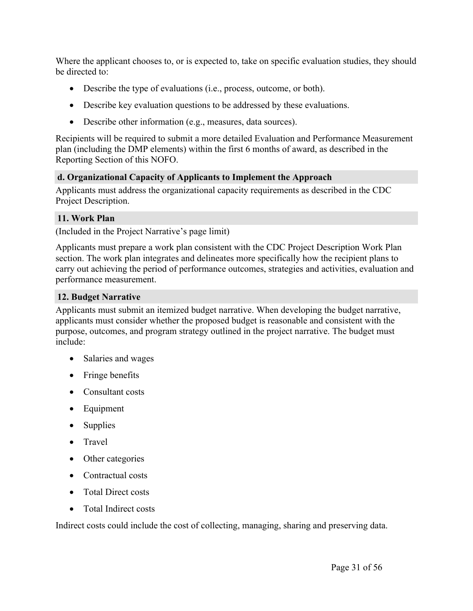Where the applicant chooses to, or is expected to, take on specific evaluation studies, they should be directed to:

- Describe the type of evaluations (i.e., process, outcome, or both).
- Describe key evaluation questions to be addressed by these evaluations.
- Describe other information (e.g., measures, data sources).

Recipients will be required to submit a more detailed Evaluation and Performance Measurement plan (including the DMP elements) within the first 6 months of award, as described in the Reporting Section of this NOFO.

#### **d. Organizational Capacity of Applicants to Implement the Approach**

Applicants must address the organizational capacity requirements as described in the CDC Project Description.

#### **11. Work Plan**

(Included in the Project Narrative's page limit)

Applicants must prepare a work plan consistent with the CDC Project Description Work Plan section. The work plan integrates and delineates more specifically how the recipient plans to carry out achieving the period of performance outcomes, strategies and activities, evaluation and performance measurement.

#### **12. Budget Narrative**

Applicants must submit an itemized budget narrative. When developing the budget narrative, applicants must consider whether the proposed budget is reasonable and consistent with the purpose, outcomes, and program strategy outlined in the project narrative. The budget must include:

- Salaries and wages
- Fringe benefits
- Consultant costs
- Equipment
- Supplies
- Travel
- Other categories
- Contractual costs
- Total Direct costs
- Total Indirect costs

Indirect costs could include the cost of collecting, managing, sharing and preserving data.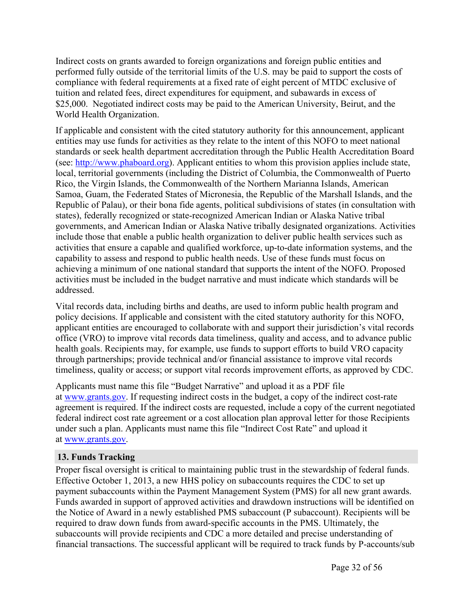Indirect costs on grants awarded to foreign organizations and foreign public entities and performed fully outside of the territorial limits of the U.S. may be paid to support the costs of compliance with federal requirements at a fixed rate of eight percent of MTDC exclusive of tuition and related fees, direct expenditures for equipment, and subawards in excess of \$25,000. Negotiated indirect costs may be paid to the American University, Beirut, and the World Health Organization.

If applicable and consistent with the cited statutory authority for this announcement, applicant entities may use funds for activities as they relate to the intent of this NOFO to meet national standards or seek health department accreditation through the Public Health Accreditation Board (see: [http://www.phaboard.org\)](http://www.phaboard.org/). Applicant entities to whom this provision applies include state, local, territorial governments (including the District of Columbia, the Commonwealth of Puerto Rico, the Virgin Islands, the Commonwealth of the Northern Marianna Islands, American Samoa, Guam, the Federated States of Micronesia, the Republic of the Marshall Islands, and the Republic of Palau), or their bona fide agents, political subdivisions of states (in consultation with states), federally recognized or state-recognized American Indian or Alaska Native tribal governments, and American Indian or Alaska Native tribally designated organizations. Activities include those that enable a public health organization to deliver public health services such as activities that ensure a capable and qualified workforce, up-to-date information systems, and the capability to assess and respond to public health needs. Use of these funds must focus on achieving a minimum of one national standard that supports the intent of the NOFO. Proposed activities must be included in the budget narrative and must indicate which standards will be addressed.

Vital records data, including births and deaths, are used to inform public health program and policy decisions. If applicable and consistent with the cited statutory authority for this NOFO, applicant entities are encouraged to collaborate with and support their jurisdiction's vital records office (VRO) to improve vital records data timeliness, quality and access, and to advance public health goals. Recipients may, for example, use funds to support efforts to build VRO capacity through partnerships; provide technical and/or financial assistance to improve vital records timeliness, quality or access; or support vital records improvement efforts, as approved by CDC.

Applicants must name this file "Budget Narrative" and upload it as a PDF file at [www.grants.gov.](https://www.grants.gov/) If requesting indirect costs in the budget, a copy of the indirect cost-rate agreement is required. If the indirect costs are requested, include a copy of the current negotiated federal indirect cost rate agreement or a cost allocation plan approval letter for those Recipients under such a plan. Applicants must name this file "Indirect Cost Rate" and upload it at [www.grants.gov.](https://www.grants.gov/)

#### **13. Funds Tracking**

Proper fiscal oversight is critical to maintaining public trust in the stewardship of federal funds. Effective October 1, 2013, a new HHS policy on subaccounts requires the CDC to set up payment subaccounts within the Payment Management System (PMS) for all new grant awards. Funds awarded in support of approved activities and drawdown instructions will be identified on the Notice of Award in a newly established PMS subaccount (P subaccount). Recipients will be required to draw down funds from award-specific accounts in the PMS. Ultimately, the subaccounts will provide recipients and CDC a more detailed and precise understanding of financial transactions. The successful applicant will be required to track funds by P-accounts/sub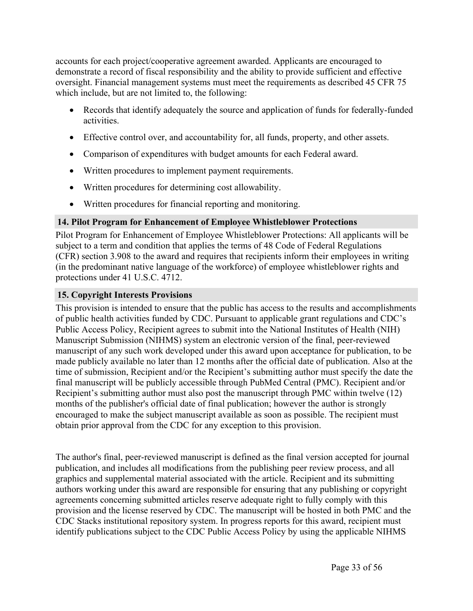accounts for each project/cooperative agreement awarded. Applicants are encouraged to demonstrate a record of fiscal responsibility and the ability to provide sufficient and effective oversight. Financial management systems must meet the requirements as described 45 CFR 75 which include, but are not limited to, the following:

- Records that identify adequately the source and application of funds for federally-funded activities.
- Effective control over, and accountability for, all funds, property, and other assets.
- Comparison of expenditures with budget amounts for each Federal award.
- Written procedures to implement payment requirements.
- Written procedures for determining cost allowability.
- Written procedures for financial reporting and monitoring.

#### **14. Pilot Program for Enhancement of Employee Whistleblower Protections**

Pilot Program for Enhancement of Employee Whistleblower Protections: All applicants will be subject to a term and condition that applies the terms of 48 Code of Federal Regulations (CFR) section 3.908 to the award and requires that recipients inform their employees in writing (in the predominant native language of the workforce) of employee whistleblower rights and protections under 41 U.S.C. 4712.

#### **15. Copyright Interests Provisions**

This provision is intended to ensure that the public has access to the results and accomplishments of public health activities funded by CDC. Pursuant to applicable grant regulations and CDC's Public Access Policy, Recipient agrees to submit into the National Institutes of Health (NIH) Manuscript Submission (NIHMS) system an electronic version of the final, peer-reviewed manuscript of any such work developed under this award upon acceptance for publication, to be made publicly available no later than 12 months after the official date of publication. Also at the time of submission, Recipient and/or the Recipient's submitting author must specify the date the final manuscript will be publicly accessible through PubMed Central (PMC). Recipient and/or Recipient's submitting author must also post the manuscript through PMC within twelve (12) months of the publisher's official date of final publication; however the author is strongly encouraged to make the subject manuscript available as soon as possible. The recipient must obtain prior approval from the CDC for any exception to this provision.

The author's final, peer-reviewed manuscript is defined as the final version accepted for journal publication, and includes all modifications from the publishing peer review process, and all graphics and supplemental material associated with the article. Recipient and its submitting authors working under this award are responsible for ensuring that any publishing or copyright agreements concerning submitted articles reserve adequate right to fully comply with this provision and the license reserved by CDC. The manuscript will be hosted in both PMC and the CDC Stacks institutional repository system. In progress reports for this award, recipient must identify publications subject to the CDC Public Access Policy by using the applicable NIHMS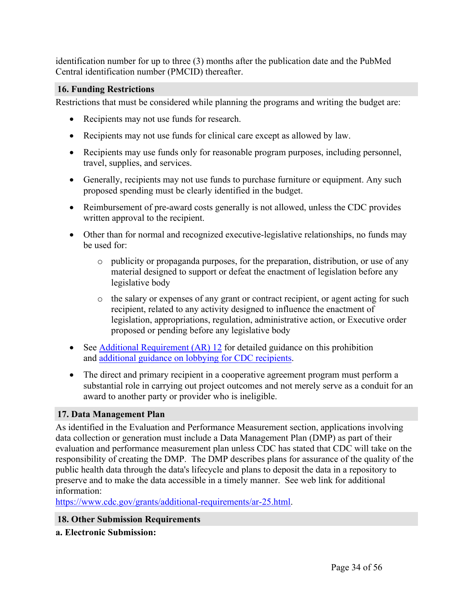identification number for up to three (3) months after the publication date and the PubMed Central identification number (PMCID) thereafter.

#### **16. Funding Restrictions**

Restrictions that must be considered while planning the programs and writing the budget are:

- Recipients may not use funds for research.
- Recipients may not use funds for clinical care except as allowed by law.
- Recipients may use funds only for reasonable program purposes, including personnel, travel, supplies, and services.
- Generally, recipients may not use funds to purchase furniture or equipment. Any such proposed spending must be clearly identified in the budget.
- Reimbursement of pre-award costs generally is not allowed, unless the CDC provides written approval to the recipient.
- Other than for normal and recognized executive-legislative relationships, no funds may be used for:
	- o publicity or propaganda purposes, for the preparation, distribution, or use of any material designed to support or defeat the enactment of legislation before any legislative body
	- o the salary or expenses of any grant or contract recipient, or agent acting for such recipient, related to any activity designed to influence the enactment of legislation, appropriations, regulation, administrative action, or Executive order proposed or pending before any legislative body
- See Additional [Requirement](https://www.cdc.gov/grants/additional-requirements/ar-12.html) (AR) 12 for detailed guidance on this prohibition and [additional](http://www.cdc.gov/grants/documents/Anti-Lobbying_Restrictions_for_CDC_Grantees_July_2012.pdf) guidance on lobbying for CDC recipients.
- The direct and primary recipient in a cooperative agreement program must perform a substantial role in carrying out project outcomes and not merely serve as a conduit for an award to another party or provider who is ineligible.

### **17. Data Management Plan**

As identified in the Evaluation and Performance Measurement section, applications involving data collection or generation must include a Data Management Plan (DMP) as part of their evaluation and performance measurement plan unless CDC has stated that CDC will take on the responsibility of creating the DMP. The DMP describes plans for assurance of the quality of the public health data through the data's lifecycle and plans to deposit the data in a repository to preserve and to make the data accessible in a timely manner. See web link for additional information:

<https://www.cdc.gov/grants/additional-requirements/ar-25.html>.

#### **18. Other Submission Requirements**

**a. Electronic Submission:**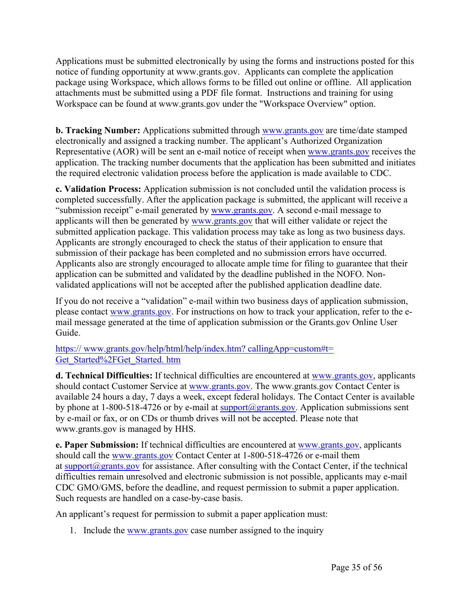Applications must be submitted electronically by using the forms and instructions posted for this notice of funding opportunity at www.grants.gov. Applicants can complete the application package using Workspace, which allows forms to be filled out online or offline. All application attachments must be submitted using a PDF file format. Instructions and training for using Workspace can be found at www.grants.gov under the "Workspace Overview" option.

**b. Tracking Number:** Applications submitted through [www.grants.gov](https://www.grants.gov/) are time/date stamped electronically and assigned a tracking number. The applicant's Authorized Organization Representative (AOR) will be sent an e-mail notice of receipt when [www.grants.gov](https://www.grants.gov/) receives the application. The tracking number documents that the application has been submitted and initiates the required electronic validation process before the application is made available to CDC.

**c. Validation Process:** Application submission is not concluded until the validation process is completed successfully. After the application package is submitted, the applicant will receive a "submission receipt" e-mail generated by [www.grants.gov.](https://www.grants.gov/) A second e-mail message to applicants will then be generated by [www.grants.gov](https://www.grants.gov/) that will either validate or reject the submitted application package. This validation process may take as long as two business days. Applicants are strongly encouraged to check the status of their application to ensure that submission of their package has been completed and no submission errors have occurred. Applicants also are strongly encouraged to allocate ample time for filing to guarantee that their application can be submitted and validated by the deadline published in the NOFO. Nonvalidated applications will not be accepted after the published application deadline date.

If you do not receive a "validation" e-mail within two business days of application submission, please contact [www.grants.gov.](https://www.grants.gov/) For instructions on how to track your application, refer to the email message generated at the time of application submission or the Grants.gov Online User Guide.

https:// [www.grants.gov/help/html/help/index.htm?](https://www.grants.gov/help/html/help/index.htm?callingApp=custom#t=Get_Started%2FGet_Started.htm) callingApp=custom#t= [Get\\_Started%2FGet\\_Started.](https://www.grants.gov/help/html/help/index.htm?callingApp=custom#t=Get_Started%2FGet_Started.htm) htm

**d. Technical Difficulties:** If technical difficulties are encountered at [www.grants.gov](https://www.grants.gov/), applicants should contact Customer Service at [www.grants.gov](https://www.grants.gov/). The www.grants.gov Contact Center is available 24 hours a day, 7 days a week, except federal holidays. The Contact Center is available by phone at 1-800-518-4726 or by e-mail at [support@grants.gov.](mailto:support@www.grants.gov) Application submissions sent by e-mail or fax, or on CDs or thumb drives will not be accepted. Please note that www.grants.gov is managed by HHS.

**e. Paper Submission:** If technical difficulties are encountered at [www.grants.gov](https://www.grants.gov/), applicants should call the [www.grants.gov](https://www.grants.gov/) Contact Center at 1-800-518-4726 or e-mail them at [support@grants.gov](mailto:support@www.grants.gov) for assistance. After consulting with the Contact Center, if the technical difficulties remain unresolved and electronic submission is not possible, applicants may e-mail CDC GMO/GMS, before the deadline, and request permission to submit a paper application. Such requests are handled on a case-by-case basis.

An applicant's request for permission to submit a paper application must:

1. Include the [www.grants.gov](https://www.grants.gov/) case number assigned to the inquiry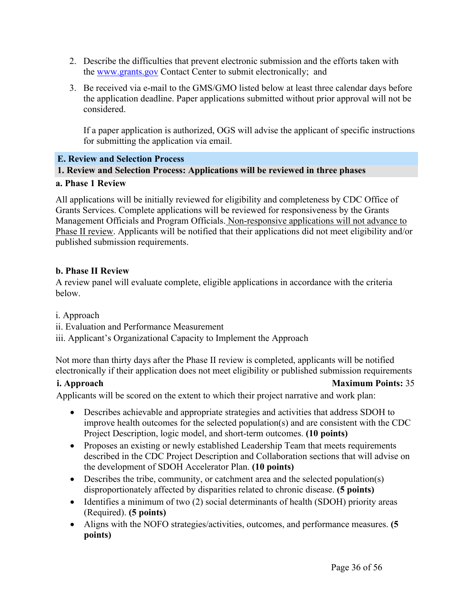- 2. Describe the difficulties that prevent electronic submission and the efforts taken with the [www.grants.gov](https://www.grants.gov/) Contact Center to submit electronically; and
- 3. Be received via e-mail to the GMS/GMO listed below at least three calendar days before the application deadline. Paper applications submitted without prior approval will not be considered.

If a paper application is authorized, OGS will advise the applicant of specific instructions for submitting the application via email.

### <span id="page-36-0"></span>**E. Review and Selection Process**

### **1. Review and Selection Process: Applications will be reviewed in three phases**

#### **a. Phase 1 Review**

All applications will be initially reviewed for eligibility and completeness by CDC Office of Grants Services. Complete applications will be reviewed for responsiveness by the Grants Management Officials and Program Officials. Non-responsive applications will not advance to Phase II review. Applicants will be notified that their applications did not meet eligibility and/or published submission requirements.

#### **b. Phase II Review**

A review panel will evaluate complete, eligible applications in accordance with the criteria below.

i. Approach

ii. Evaluation and Performance Measurement

iii. Applicant's Organizational Capacity to Implement the Approach

Not more than thirty days after the Phase II review is completed, applicants will be notified electronically if their application does not meet eligibility or published submission requirements

#### **i. Approach Maximum Points:** 35

Applicants will be scored on the extent to which their project narrative and work plan:

- Describes achievable and appropriate strategies and activities that address SDOH to improve health outcomes for the selected population(s) and are consistent with the CDC Project Description, logic model, and short-term outcomes. **(10 points)**
- Proposes an existing or newly established Leadership Team that meets requirements described in the CDC Project Description and Collaboration sections that will advise on the development of SDOH Accelerator Plan. **(10 points)**
- Describes the tribe, community, or catchment area and the selected population(s) disproportionately affected by disparities related to chronic disease. **(5 points)**
- Identifies a minimum of two (2) social determinants of health (SDOH) priority areas (Required). **(5 points)**
- Aligns with the NOFO strategies/activities, outcomes, and performance measures. **(5 points)**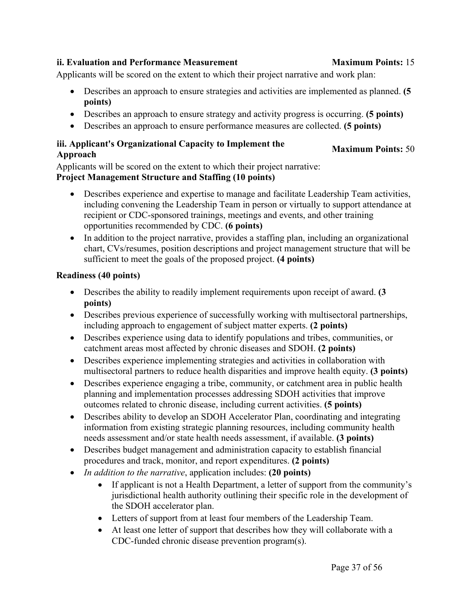# **iii. Applicant's Organizational Capacity to Implement the Approach Maximum Points:** <sup>50</sup>

Applicants will be scored on the extent to which their project narrative and work plan:

Applicants will be scored on the extent to which their project narrative: **Project Management Structure and Staffing (10 points)**

 Describes experience and expertise to manage and facilitate Leadership Team activities, including convening the Leadership Team in person or virtually to support attendance at recipient or CDC-sponsored trainings, meetings and events, and other training opportunities recommended by CDC. **(6 points)**

Describes an approach to ensure strategies and activities are implemented as planned. **(5**

Describes an approach to ensure strategy and activity progress is occurring. **(5 points)**

Describes an approach to ensure performance measures are collected. **(5 points)**

• In addition to the project narrative, provides a staffing plan, including an organizational chart, CVs/resumes, position descriptions and project management structure that will be sufficient to meet the goals of the proposed project. **(4 points)**

# **Readiness (40 points)**

**points)**

- Describes the ability to readily implement requirements upon receipt of award. **(3 points)**
- Describes previous experience of successfully working with multisectoral partnerships, including approach to engagement of subject matter experts. **(2 points)**
- Describes experience using data to identify populations and tribes, communities, or catchment areas most affected by chronic diseases and SDOH. **(2 points)**
- Describes experience implementing strategies and activities in collaboration with multisectoral partners to reduce health disparities and improve health equity. **(3 points)**
- Describes experience engaging a tribe, community, or catchment area in public health planning and implementation processes addressing SDOH activities that improve outcomes related to chronic disease, including current activities. **(5 points)**
- Describes ability to develop an SDOH Accelerator Plan, coordinating and integrating information from existing strategic planning resources, including community health needs assessment and/or state health needs assessment, if available. **(3 points)**
- Describes budget management and administration capacity to establish financial procedures and track, monitor, and report expenditures. **(2 points)**
- *In addition to the narrative*, application includes: **(20 points)**
	- If applicant is not a Health Department, a letter of support from the community's jurisdictional health authority outlining their specific role in the development of the SDOH accelerator plan.
	- Letters of support from at least four members of the Leadership Team.
	- At least one letter of support that describes how they will collaborate with a CDC-funded chronic disease prevention program(s).

# **ii. Evaluation and Performance Measurement Maximum Points:** 15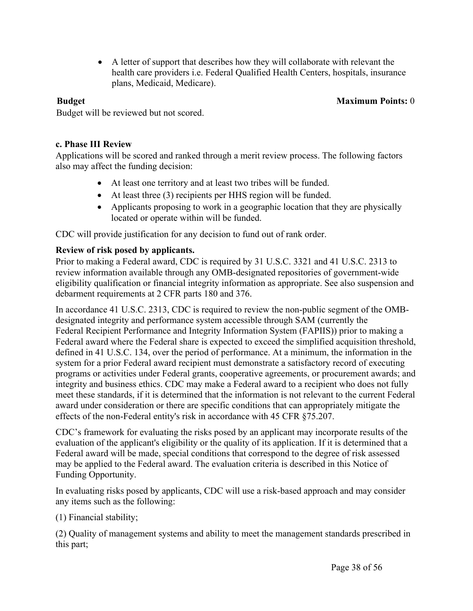A letter of support that describes how they will collaborate with relevant the health care providers i.e. Federal Qualified Health Centers, hospitals, insurance plans, Medicaid, Medicare).

#### **Budget Maximum Points:** 0

Budget will be reviewed but not scored.

#### **c. Phase III Review**

Applications will be scored and ranked through a merit review process. The following factors also may affect the funding decision:

- At least one territory and at least two tribes will be funded.
- At least three (3) recipients per HHS region will be funded.
- Applicants proposing to work in a geographic location that they are physically located or operate within will be funded.

CDC will provide justification for any decision to fund out of rank order.

#### **Review of risk posed by applicants.**

Prior to making a Federal award, CDC is required by 31 U.S.C. 3321 and 41 U.S.C. 2313 to review information available through any OMB-designated repositories of government-wide eligibility qualification or financial integrity information as appropriate. See also suspension and debarment requirements at 2 CFR parts 180 and 376.

In accordance 41 U.S.C. 2313, CDC is required to review the non-public segment of the OMBdesignated integrity and performance system accessible through SAM (currently the Federal Recipient Performance and Integrity Information System (FAPIIS)) prior to making a Federal award where the Federal share is expected to exceed the simplified acquisition threshold, defined in 41 U.S.C. 134, over the period of performance. At a minimum, the information in the system for a prior Federal award recipient must demonstrate a satisfactory record of executing programs or activities under Federal grants, cooperative agreements, or procurement awards; and integrity and business ethics. CDC may make a Federal award to a recipient who does not fully meet these standards, if it is determined that the information is not relevant to the current Federal award under consideration or there are specific conditions that can appropriately mitigate the effects of the non-Federal entity's risk in accordance with 45 CFR §75.207.

CDC's framework for evaluating the risks posed by an applicant may incorporate results of the evaluation of the applicant's eligibility or the quality of its application. If it is determined that a Federal award will be made, special conditions that correspond to the degree of risk assessed may be applied to the Federal award. The evaluation criteria is described in this Notice of Funding Opportunity.

In evaluating risks posed by applicants, CDC will use a risk-based approach and may consider any items such as the following:

(1) Financial stability;

(2) Quality of management systems and ability to meet the management standards prescribed in this part;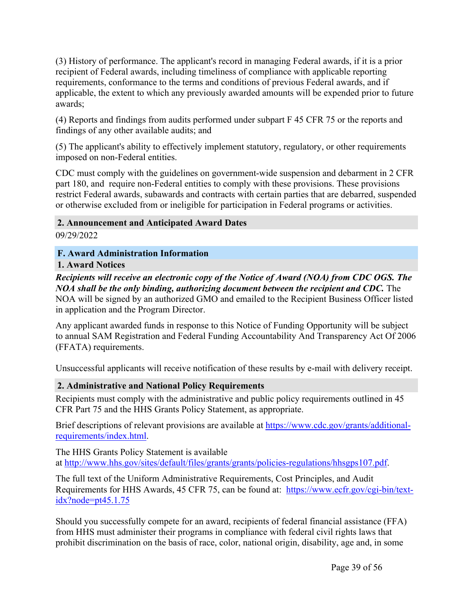(3) History of performance. The applicant's record in managing Federal awards, if it is a prior recipient of Federal awards, including timeliness of compliance with applicable reporting requirements, conformance to the terms and conditions of previous Federal awards, and if applicable, the extent to which any previously awarded amounts will be expended prior to future awards;

(4) Reports and findings from audits performed under subpart F 45 CFR 75 or the reports and findings of any other available audits; and

(5) The applicant's ability to effectively implement statutory, regulatory, or other requirements imposed on non-Federal entities.

CDC must comply with the guidelines on government-wide suspension and debarment in 2 CFR part 180, and require non-Federal entities to comply with these provisions. These provisions restrict Federal awards, subawards and contracts with certain parties that are debarred, suspended or otherwise excluded from or ineligible for participation in Federal programs or activities.

**2. Announcement and Anticipated Award Dates**

09/29/2022

<span id="page-39-0"></span>**F. Award Administration Information**

#### **1. Award Notices**

*Recipients will receive an electronic copy of the Notice of Award (NOA) from CDC OGS. The NOA shall be the only binding, authorizing document between the recipient and CDC.* The NOA will be signed by an authorized GMO and emailed to the Recipient Business Officer listed in application and the Program Director.

Any applicant awarded funds in response to this Notice of Funding Opportunity will be subject to annual SAM Registration and Federal Funding Accountability And Transparency Act Of 2006 (FFATA) requirements.

Unsuccessful applicants will receive notification of these results by e-mail with delivery receipt.

### **2. Administrative and National Policy Requirements**

Recipients must comply with the administrative and public policy requirements outlined in 45 CFR Part 75 and the HHS Grants Policy Statement, as appropriate.

Brief descriptions of relevant provisions are available at [https://www.cdc.gov/grants/additional](https://www.cdc.gov/grants/additional-requirements/index.html)[requirements/index.html.](https://www.cdc.gov/grants/additional-requirements/index.html)

The HHS Grants Policy Statement is available at <http://www.hhs.gov/sites/default/files/grants/grants/policies-regulations/hhsgps107.pdf>.

The full text of the Uniform Administrative Requirements, Cost Principles, and Audit Requirements for HHS Awards, 45 CFR 75, can be found at: [https://www.ecfr.gov/cgi-bin/text](https://www.ecfr.gov/cgi-bin/text-idx?node=pt45.1.75) $idx?node=pt45.1.75$ 

Should you successfully compete for an award, recipients of federal financial assistance (FFA) from HHS must administer their programs in compliance with federal civil rights laws that prohibit discrimination on the basis of race, color, national origin, disability, age and, in some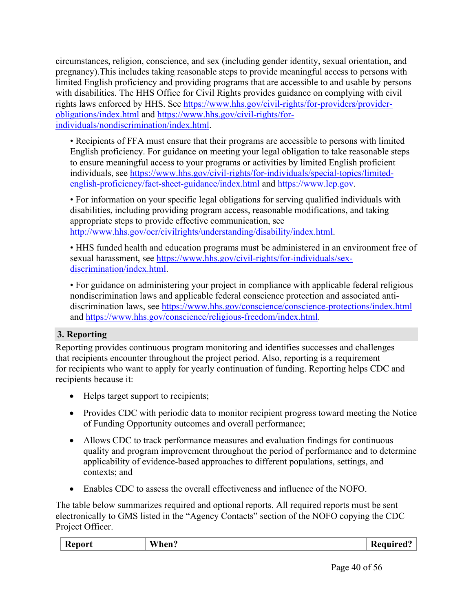circumstances, religion, conscience, and sex (including gender identity, sexual orientation, and pregnancy).This includes taking reasonable steps to provide meaningful access to persons with limited English proficiency and providing programs that are accessible to and usable by persons with disabilities. The HHS Office for Civil Rights provides guidance on complying with civil rights laws enforced by HHS. See [https://www.hhs.gov/civil-rights/for-providers/provider](https://www.hhs.gov/civil-rights/for-providers/provider-obligations/index.html)[obligations/index.html](https://www.hhs.gov/civil-rights/for-providers/provider-obligations/index.html) and [https://www.hhs.gov/civil-rights/for](https://www.hhs.gov/civil-rights/for-individuals/nondiscrimination/index.html)[individuals/nondiscrimination/index.html.](https://www.hhs.gov/civil-rights/for-individuals/nondiscrimination/index.html)

• Recipients of FFA must ensure that their programs are accessible to persons with limited English proficiency. For guidance on meeting your legal obligation to take reasonable steps to ensure meaningful access to your programs or activities by limited English proficient individuals, see [https://www.hhs.gov/civil-rights/for-individuals/special-topics/limited](https://www.hhs.gov/civil-rights/for-individuals/special-topics/limited-english-proficiency/fact-sheet-guidance/index.html)[english-proficiency/fact-sheet-guidance/index.html](https://www.hhs.gov/civil-rights/for-individuals/special-topics/limited-english-proficiency/fact-sheet-guidance/index.html) and [https://www.lep.gov.](https://www.lep.gov)

• For information on your specific legal obligations for serving qualified individuals with disabilities, including providing program access, reasonable modifications, and taking appropriate steps to provide effective communication, see <http://www.hhs.gov/ocr/civilrights/understanding/disability/index.html>.

• HHS funded health and education programs must be administered in an environment free of sexual harassment, see [https://www.hhs.gov/civil-rights/for-individuals/sex](https://www.hhs.gov/civil-rights/for-individuals/sex-discrimination/index.html)[discrimination/index.html](https://www.hhs.gov/civil-rights/for-individuals/sex-discrimination/index.html).

• For guidance on administering your project in compliance with applicable federal religious nondiscrimination laws and applicable federal conscience protection and associated antidiscrimination laws, see <https://www.hhs.gov/conscience/conscience-protections/index.html> and <https://www.hhs.gov/conscience/religious-freedom/index.html>.

### **3. Reporting**

Reporting provides continuous program monitoring and identifies successes and challenges that recipients encounter throughout the project period. Also, reporting is a requirement for recipients who want to apply for yearly continuation of funding. Reporting helps CDC and recipients because it:

- Helps target support to recipients;
- Provides CDC with periodic data to monitor recipient progress toward meeting the Notice of Funding Opportunity outcomes and overall performance;
- Allows CDC to track performance measures and evaluation findings for continuous quality and program improvement throughout the period of performance and to determine applicability of evidence-based approaches to different populations, settings, and contexts; and
- Enables CDC to assess the overall effectiveness and influence of the NOFO.

The table below summarizes required and optional reports. All required reports must be sent electronically to GMS listed in the "Agency Contacts" section of the NOFO copying the CDC Project Officer.

| Report | <b>WW71</b><br>hen?<br>W | Required<br>10 |
|--------|--------------------------|----------------|
|        |                          |                |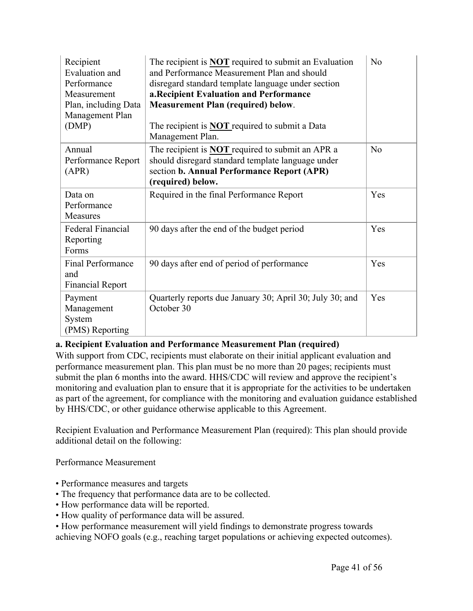| Recipient<br>Evaluation and<br>Performance<br>Measurement<br>Plan, including Data<br>Management Plan<br>(DMP) | The recipient is <b>NOT</b> required to submit an Evaluation<br>and Performance Measurement Plan and should<br>disregard standard template language under section<br>a. Recipient Evaluation and Performance<br><b>Measurement Plan (required) below.</b><br>The recipient is <b>NOT</b> required to submit a Data<br>Management Plan. | N <sub>o</sub> |
|---------------------------------------------------------------------------------------------------------------|----------------------------------------------------------------------------------------------------------------------------------------------------------------------------------------------------------------------------------------------------------------------------------------------------------------------------------------|----------------|
| Annual<br>Performance Report<br>(APR)                                                                         | The recipient is <b>NOT</b> required to submit an APR a<br>should disregard standard template language under<br>section b. Annual Performance Report (APR)<br>(required) below.                                                                                                                                                        | N <sub>o</sub> |
| Data on<br>Performance<br>Measures                                                                            | Required in the final Performance Report                                                                                                                                                                                                                                                                                               | Yes            |
| Federal Financial<br>Reporting<br>Forms                                                                       | 90 days after the end of the budget period                                                                                                                                                                                                                                                                                             | Yes            |
| <b>Final Performance</b><br>and<br><b>Financial Report</b>                                                    | 90 days after end of period of performance                                                                                                                                                                                                                                                                                             | Yes            |
| Payment<br>Management<br>System<br>(PMS) Reporting                                                            | Quarterly reports due January 30; April 30; July 30; and<br>October 30                                                                                                                                                                                                                                                                 | Yes            |

#### **a. Recipient Evaluation and Performance Measurement Plan (required)**

With support from CDC, recipients must elaborate on their initial applicant evaluation and performance measurement plan. This plan must be no more than 20 pages; recipients must submit the plan 6 months into the award. HHS/CDC will review and approve the recipient's monitoring and evaluation plan to ensure that it is appropriate for the activities to be undertaken as part of the agreement, for compliance with the monitoring and evaluation guidance established by HHS/CDC, or other guidance otherwise applicable to this Agreement.

Recipient Evaluation and Performance Measurement Plan (required): This plan should provide additional detail on the following:

Performance Measurement

- Performance measures and targets
- The frequency that performance data are to be collected.
- How performance data will be reported.
- How quality of performance data will be assured.

• How performance measurement will yield findings to demonstrate progress towards

achieving NOFO goals (e.g., reaching target populations or achieving expected outcomes).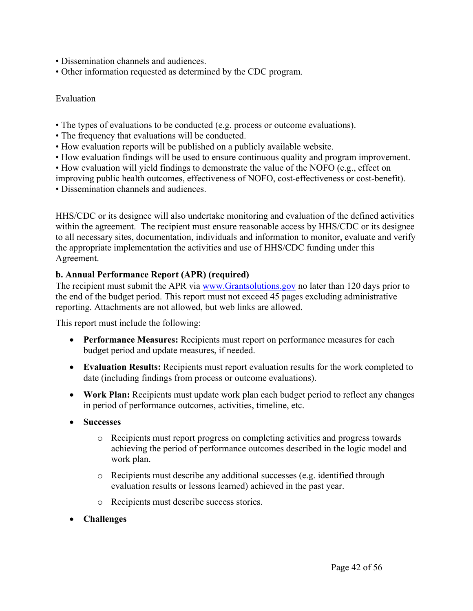- Dissemination channels and audiences.
- Other information requested as determined by the CDC program.

#### Evaluation

- The types of evaluations to be conducted (e.g. process or outcome evaluations).
- The frequency that evaluations will be conducted.
- How evaluation reports will be published on a publicly available website.
- How evaluation findings will be used to ensure continuous quality and program improvement.
- How evaluation will yield findings to demonstrate the value of the NOFO (e.g., effect on
- improving public health outcomes, effectiveness of NOFO, cost-effectiveness or cost-benefit).
- Dissemination channels and audiences.

HHS/CDC or its designee will also undertake monitoring and evaluation of the defined activities within the agreement. The recipient must ensure reasonable access by HHS/CDC or its designee to all necessary sites, documentation, individuals and information to monitor, evaluate and verify the appropriate implementation the activities and use of HHS/CDC funding under this Agreement.

#### **b. Annual Performance Report (APR) (required)**

The recipient must submit the APR via [www.Grantsolutions.gov](http://www.grantsolutions.gov/) no later than 120 days prior to the end of the budget period. This report must not exceed 45 pages excluding administrative reporting. Attachments are not allowed, but web links are allowed.

This report must include the following:

- **Performance Measures:** Recipients must report on performance measures for each budget period and update measures, if needed.
- **Evaluation Results:** Recipients must report evaluation results for the work completed to date (including findings from process or outcome evaluations).
- **Work Plan:** Recipients must update work plan each budget period to reflect any changes in period of performance outcomes, activities, timeline, etc.
- **Successes**
	- o Recipients must report progress on completing activities and progress towards achieving the period of performance outcomes described in the logic model and work plan.
	- o Recipients must describe any additional successes (e.g. identified through evaluation results or lessons learned) achieved in the past year.
	- o Recipients must describe success stories.
- **Challenges**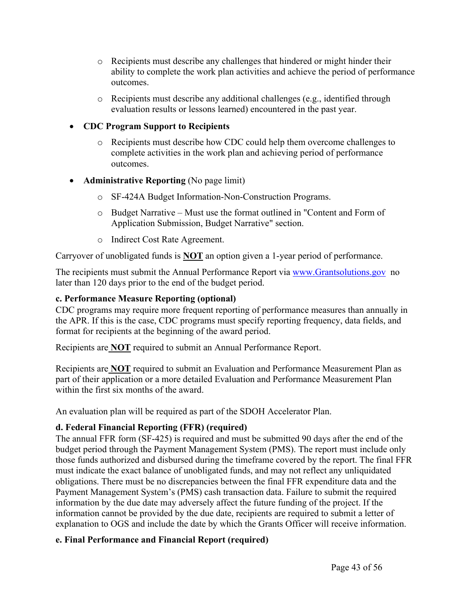- $\circ$  Recipients must describe any challenges that hindered or might hinder their ability to complete the work plan activities and achieve the period of performance outcomes.
- o Recipients must describe any additional challenges (e.g., identified through evaluation results or lessons learned) encountered in the past year.

#### **CDC Program Support to Recipients**

- o Recipients must describe how CDC could help them overcome challenges to complete activities in the work plan and achieving period of performance outcomes.
- **Administrative Reporting** (No page limit)
	- o SF-424A Budget Information-Non-Construction Programs.
	- o Budget Narrative Must use the format outlined in "Content and Form of Application Submission, Budget Narrative" section.
	- o Indirect Cost Rate Agreement.

Carryover of unobligated funds is **NOT** an option given a 1-year period of performance.

The recipients must submit the Annual Performance Report via [www.Grantsolutions.gov](http://www.grantsolutions.gov/) no later than 120 days prior to the end of the budget period.

#### **c. Performance Measure Reporting (optional)**

CDC programs may require more frequent reporting of performance measures than annually in the APR. If this is the case, CDC programs must specify reporting frequency, data fields, and format for recipients at the beginning of the award period.

Recipients are **NOT** required to submit an Annual Performance Report.

Recipients are **NOT** required to submit an Evaluation and Performance Measurement Plan as part of their application or a more detailed Evaluation and Performance Measurement Plan within the first six months of the award.

An evaluation plan will be required as part of the SDOH Accelerator Plan.

### **d. Federal Financial Reporting (FFR) (required)**

The annual FFR form (SF-425) is required and must be submitted 90 days after the end of the budget period through the Payment Management System (PMS). The report must include only those funds authorized and disbursed during the timeframe covered by the report. The final FFR must indicate the exact balance of unobligated funds, and may not reflect any unliquidated obligations. There must be no discrepancies between the final FFR expenditure data and the Payment Management System's (PMS) cash transaction data. Failure to submit the required information by the due date may adversely affect the future funding of the project. If the information cannot be provided by the due date, recipients are required to submit a letter of explanation to OGS and include the date by which the Grants Officer will receive information.

### **e. Final Performance and Financial Report (required)**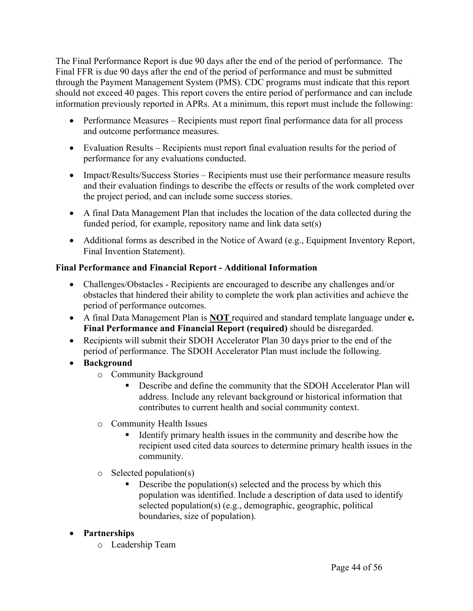The Final Performance Report is due 90 days after the end of the period of performance. The Final FFR is due 90 days after the end of the period of performance and must be submitted through the Payment Management System (PMS). CDC programs must indicate that this report should not exceed 40 pages. This report covers the entire period of performance and can include information previously reported in APRs. At a minimum, this report must include the following:

- Performance Measures Recipients must report final performance data for all process and outcome performance measures.
- Evaluation Results Recipients must report final evaluation results for the period of performance for any evaluations conducted.
- Impact/Results/Success Stories Recipients must use their performance measure results and their evaluation findings to describe the effects or results of the work completed over the project period, and can include some success stories.
- A final Data Management Plan that includes the location of the data collected during the funded period, for example, repository name and link data set(s)
- Additional forms as described in the Notice of Award (e.g., Equipment Inventory Report, Final Invention Statement).

### **Final Performance and Financial Report - Additional Information**

- Challenges/Obstacles Recipients are encouraged to describe any challenges and/or obstacles that hindered their ability to complete the work plan activities and achieve the period of performance outcomes.
- A final Data Management Plan is **NOT** required and standard template language under **e. Final Performance and Financial Report (required)** should be disregarded.
- Recipients will submit their SDOH Accelerator Plan 30 days prior to the end of the period of performance. The SDOH Accelerator Plan must include the following.
- **Background**
	- o Community Background
		- Describe and define the community that the SDOH Accelerator Plan will address. Include any relevant background or historical information that contributes to current health and social community context.
	- o Community Health Issues
		- Identify primary health issues in the community and describe how the recipient used cited data sources to determine primary health issues in the community.
	- o Selected population(s)
		- Describe the population(s) selected and the process by which this population was identified. Include a description of data used to identify selected population(s) (e.g., demographic, geographic, political boundaries, size of population).

# **Partnerships**

o Leadership Team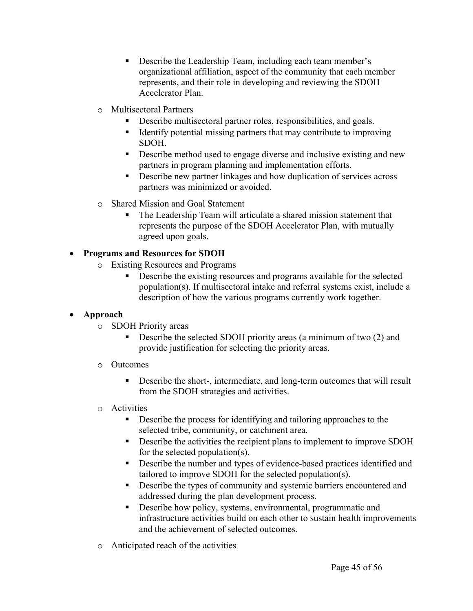- Describe the Leadership Team, including each team member's organizational affiliation, aspect of the community that each member represents, and their role in developing and reviewing the SDOH Accelerator Plan.
- o Multisectoral Partners
	- Describe multisectoral partner roles, responsibilities, and goals.
	- Identify potential missing partners that may contribute to improving SDOH.
	- Describe method used to engage diverse and inclusive existing and new partners in program planning and implementation efforts.
	- Describe new partner linkages and how duplication of services across partners was minimized or avoided.
- o Shared Mission and Goal Statement
	- The Leadership Team will articulate a shared mission statement that represents the purpose of the SDOH Accelerator Plan, with mutually agreed upon goals.

# **Programs and Resources for SDOH**

- o Existing Resources and Programs
	- Describe the existing resources and programs available for the selected population(s). If multisectoral intake and referral systems exist, include a description of how the various programs currently work together.

### **Approach**

- o SDOH Priority areas
	- Describe the selected SDOH priority areas (a minimum of two (2) and provide justification for selecting the priority areas.
- o Outcomes
	- Describe the short-, intermediate, and long-term outcomes that will result from the SDOH strategies and activities.
- o Activities
	- Describe the process for identifying and tailoring approaches to the selected tribe, community, or catchment area.
	- Describe the activities the recipient plans to implement to improve SDOH for the selected population(s).
	- Describe the number and types of evidence-based practices identified and tailored to improve SDOH for the selected population(s).
	- Describe the types of community and systemic barriers encountered and addressed during the plan development process.
	- Describe how policy, systems, environmental, programmatic and infrastructure activities build on each other to sustain health improvements and the achievement of selected outcomes.
- o Anticipated reach of the activities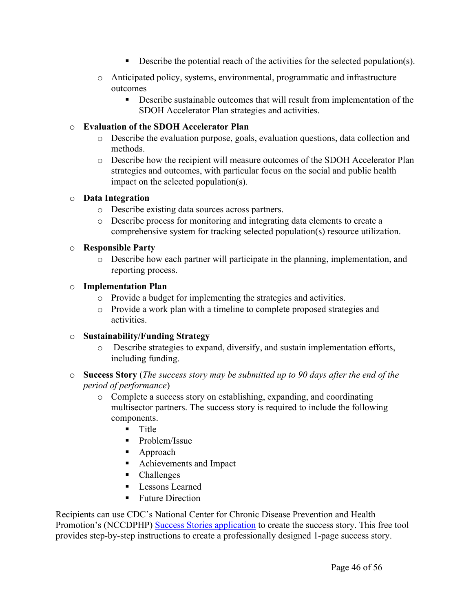- Describe the potential reach of the activities for the selected population(s).
- o Anticipated policy, systems, environmental, programmatic and infrastructure outcomes
	- Describe sustainable outcomes that will result from implementation of the SDOH Accelerator Plan strategies and activities.

#### o **Evaluation of the SDOH Accelerator Plan**

- o Describe the evaluation purpose, goals, evaluation questions, data collection and methods.
- o Describe how the recipient will measure outcomes of the SDOH Accelerator Plan strategies and outcomes, with particular focus on the social and public health impact on the selected population(s).

#### o **Data Integration**

- o Describe existing data sources across partners.
- o Describe process for monitoring and integrating data elements to create a comprehensive system for tracking selected population(s) resource utilization.

#### o **Responsible Party**

o Describe how each partner will participate in the planning, implementation, and reporting process.

#### o **Implementation Plan**

- o Provide a budget for implementing the strategies and activities.
- o Provide a work plan with a timeline to complete proposed strategies and activities.

#### o **Sustainability/Funding Strategy**

- o Describe strategies to expand, diversify, and sustain implementation efforts, including funding.
- o **Success Story** (*The success story may be submitted up to 90 days after the end of the period of performance*)
	- o Complete a success story on establishing, expanding, and coordinating multisector partners. The success story is required to include the following components.
		- $\blacksquare$  Title
		- **Problem/Issue**
		- Approach
		- **Achievements and Impact**
		- Challenges
		- **Lessons Learned**
		- Future Direction

Recipients can use CDC's National Center for Chronic Disease Prevention and Health Promotion's (NCCDPHP) Success Stories [application](https://www.cdc.gov/chronicdisease/programs-impact/success-stories/index.htm) to create the success story. This free tool provides step-by-step instructions to create a professionally designed 1-page success story.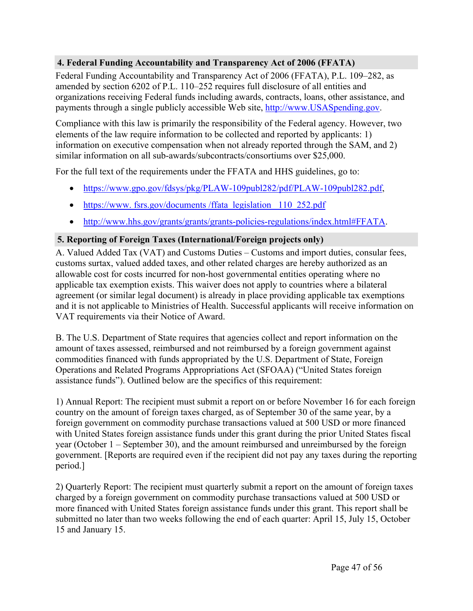### **4. Federal Funding Accountability and Transparency Act of 2006 (FFATA)**

Federal Funding Accountability and Transparency Act of 2006 (FFATA), P.L. 109–282, as amended by section 6202 of P.L. 110–252 requires full disclosure of all entities and organizations receiving Federal funds including awards, contracts, loans, other assistance, and payments through a single publicly accessible Web site, [http://www.USASpending.gov.](http://www.usaspending.gov/)

Compliance with this law is primarily the responsibility of the Federal agency. However, two elements of the law require information to be collected and reported by applicants: 1) information on executive compensation when not already reported through the SAM, and 2) similar information on all sub-awards/subcontracts/consortiums over \$25,000.

For the full text of the requirements under the FFATA and HHS guidelines, go to:

- [https://www.gpo.gov/fdsys/pkg/PLAW-109publ282/pdf/PLAW-109publ282.pdf,](https://www.gpo.gov/fdsys/pkg/PLAW-109publ282/pdf/PLAW-109publ282.pdf)
- https://www. [fsrs.gov/documents](https://www.fsrs.gov/documents/ffata_legislation_110_252.pdf) /ffata\_legislation\_110\_252.pdf
- [http://www.hhs.gov/grants/grants/grants-policies-regulations/index.html#FFATA.](http://www.hhs.gov/grants/grants/grants-policies-regulations/index.html#FFATA)

### **5. Reporting of Foreign Taxes (International/Foreign projects only)**

A. Valued Added Tax (VAT) and Customs Duties – Customs and import duties, consular fees, customs surtax, valued added taxes, and other related charges are hereby authorized as an allowable cost for costs incurred for non-host governmental entities operating where no applicable tax exemption exists. This waiver does not apply to countries where a bilateral agreement (or similar legal document) is already in place providing applicable tax exemptions and it is not applicable to Ministries of Health. Successful applicants will receive information on VAT requirements via their Notice of Award.

B. The U.S. Department of State requires that agencies collect and report information on the amount of taxes assessed, reimbursed and not reimbursed by a foreign government against commodities financed with funds appropriated by the U.S. Department of State, Foreign Operations and Related Programs Appropriations Act (SFOAA) ("United States foreign assistance funds"). Outlined below are the specifics of this requirement:

1) Annual Report: The recipient must submit a report on or before November 16 for each foreign country on the amount of foreign taxes charged, as of September 30 of the same year, by a foreign government on commodity purchase transactions valued at 500 USD or more financed with United States foreign assistance funds under this grant during the prior United States fiscal year (October 1 – September 30), and the amount reimbursed and unreimbursed by the foreign government. [Reports are required even if the recipient did not pay any taxes during the reporting period.]

2) Quarterly Report: The recipient must quarterly submit a report on the amount of foreign taxes charged by a foreign government on commodity purchase transactions valued at 500 USD or more financed with United States foreign assistance funds under this grant. This report shall be submitted no later than two weeks following the end of each quarter: April 15, July 15, October 15 and January 15.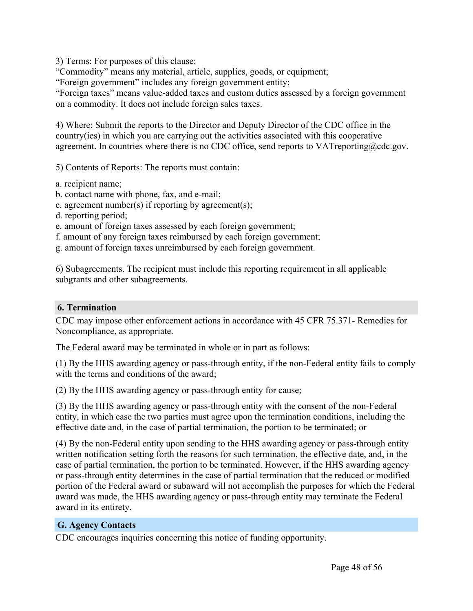3) Terms: For purposes of this clause:

"Commodity" means any material, article, supplies, goods, or equipment;

"Foreign government" includes any foreign government entity;

"Foreign taxes" means value-added taxes and custom duties assessed by a foreign government on a commodity. It does not include foreign sales taxes.

4) Where: Submit the reports to the Director and Deputy Director of the CDC office in the country(ies) in which you are carrying out the activities associated with this cooperative agreement. In countries where there is no CDC office, send reports to  $VAT$ reporting@cdc.gov.

5) Contents of Reports: The reports must contain:

- a. recipient name;
- b. contact name with phone, fax, and e-mail;
- c. agreement number(s) if reporting by agreement(s);
- d. reporting period;
- e. amount of foreign taxes assessed by each foreign government;
- f. amount of any foreign taxes reimbursed by each foreign government;
- g. amount of foreign taxes unreimbursed by each foreign government.

6) Subagreements. The recipient must include this reporting requirement in all applicable subgrants and other subagreements.

#### **6. Termination**

CDC may impose other enforcement actions in accordance with 45 CFR 75.371- Remedies for Noncompliance, as appropriate.

The Federal award may be terminated in whole or in part as follows:

(1) By the HHS awarding agency or pass-through entity, if the non-Federal entity fails to comply with the terms and conditions of the award;

(2) By the HHS awarding agency or pass-through entity for cause;

(3) By the HHS awarding agency or pass-through entity with the consent of the non-Federal entity, in which case the two parties must agree upon the termination conditions, including the effective date and, in the case of partial termination, the portion to be terminated; or

(4) By the non-Federal entity upon sending to the HHS awarding agency or pass-through entity written notification setting forth the reasons for such termination, the effective date, and, in the case of partial termination, the portion to be terminated. However, if the HHS awarding agency or pass-through entity determines in the case of partial termination that the reduced or modified portion of the Federal award or subaward will not accomplish the purposes for which the Federal award was made, the HHS awarding agency or pass-through entity may terminate the Federal award in its entirety.

#### <span id="page-48-0"></span>**G. Agency Contacts**

CDC encourages inquiries concerning this notice of funding opportunity.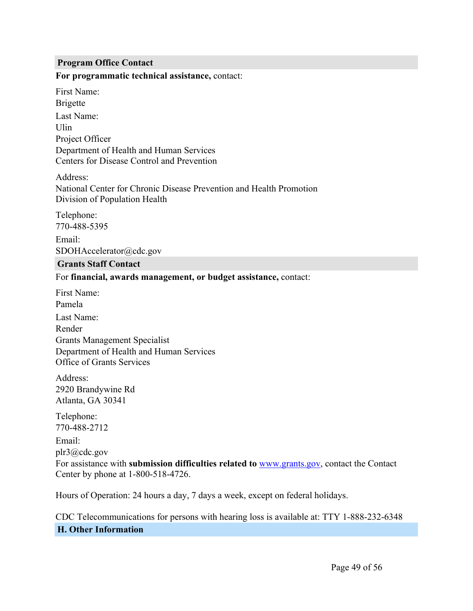#### **Program Office Contact**

#### **For programmatic technical assistance,** contact:

First Name: Brigette Last Name: Ulin Project Officer Department of Health and Human Services Centers for Disease Control and Prevention

Address: National Center for Chronic Disease Prevention and Health Promotion Division of Population Health

Telephone: 770-488-5395 Email: SDOHAccelerator@cdc.gov

#### **Grants Staff Contact**

For **financial, awards management, or budget assistance,** contact:

First Name: Pamela Last Name: Render Grants Management Specialist Department of Health and Human Services Office of Grants Services

Address: 2920 Brandywine Rd Atlanta, GA 30341

Telephone: 770-488-2712

Email: plr3@cdc.gov For assistance with **submission difficulties related to** [www.grants.gov,](https://www.grants.gov/) contact the Contact Center by phone at 1-800-518-4726.

Hours of Operation: 24 hours a day, 7 days a week, except on federal holidays.

<span id="page-49-0"></span>CDC Telecommunications for persons with hearing loss is available at: TTY 1-888-232-6348 **H. Other Information**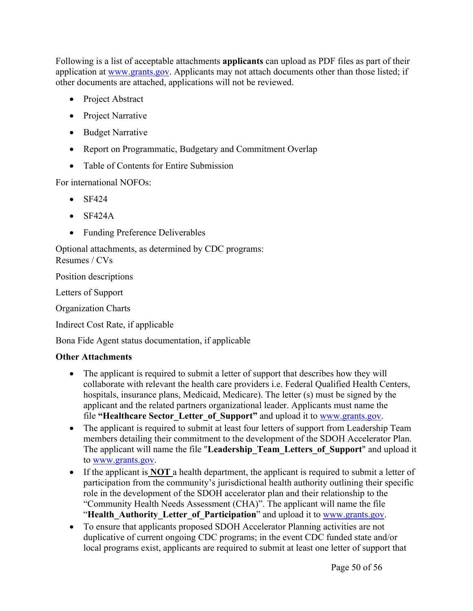Following is a list of acceptable attachments **applicants** can upload as PDF files as part of their application at [www.grants.gov](https://www.grants.gov/). Applicants may not attach documents other than those listed; if other documents are attached, applications will not be reviewed.

- Project Abstract
- Project Narrative
- Budget Narrative
- Report on Programmatic, Budgetary and Commitment Overlap
- Table of Contents for Entire Submission

For international NOFOs:

- $\bullet$  SF424
- $\bullet$  SF424A
- Funding Preference Deliverables

Optional attachments, as determined by CDC programs: Resumes / CVs

Position descriptions

Letters of Support

Organization Charts

Indirect Cost Rate, if applicable

Bona Fide Agent status documentation, if applicable

#### **Other Attachments**

- The applicant is required to submit a letter of support that describes how they will collaborate with relevant the health care providers i.e. Federal Qualified Health Centers, hospitals, insurance plans, Medicaid, Medicare). The letter (s) must be signed by the applicant and the related partners organizational leader. Applicants must name the file **"Healthcare Sector\_Letter\_of\_Support"** and upload it to [www.grants.gov.](http://www.grants.gov/)
- The applicant is required to submit at least four letters of support from Leadership Team members detailing their commitment to the development of the SDOH Accelerator Plan. The applicant will name the file "**Leadership\_Team\_Letters\_of\_Support**" and upload it to [www.grants.gov.](http://www.grants.gov/)
- If the applicant is **NOT** a health department, the applicant is required to submit a letter of participation from the community's jurisdictional health authority outlining their specific role in the development of the SDOH accelerator plan and their relationship to the "Community Health Needs Assessment (CHA)". The applicant will name the file "**Health\_Authority\_Letter\_of\_Participation**" and upload it to [www.grants.gov.](http://www.grants.gov)
- To ensure that applicants proposed SDOH Accelerator Planning activities are not duplicative of current ongoing CDC programs; in the event CDC funded state and/or local programs exist, applicants are required to submit at least one letter of support that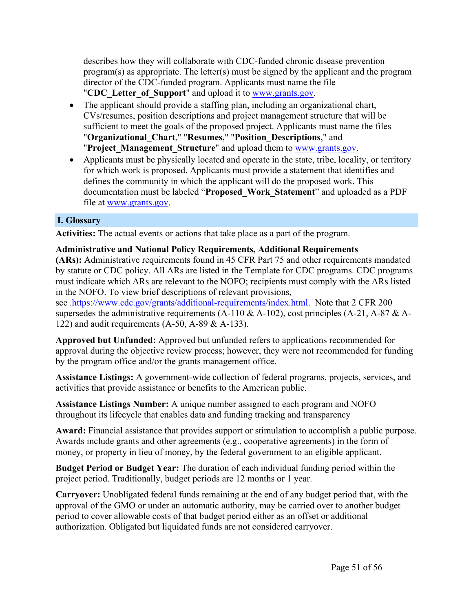describes how they will collaborate with CDC-funded chronic disease prevention program(s) as appropriate. The letter(s) must be signed by the applicant and the program director of the CDC-funded program. Applicants must name the file "**CDC\_Letter\_of\_Support**" and upload it to [www.grants.gov](http://www.grants.gov/).

- The applicant should provide a staffing plan, including an organizational chart, CVs/resumes, position descriptions and project management structure that will be sufficient to meet the goals of the proposed project. Applicants must name the files "**Organizational\_Chart**," "**Resumes,**" "**Position\_Descriptions**," and "Project Management Structure" and upload them to [www.grants.gov](http://www.grants.gov).
- Applicants must be physically located and operate in the state, tribe, locality, or territory for which work is proposed. Applicants must provide a statement that identifies and defines the community in which the applicant will do the proposed work. This documentation must be labeled "**Proposed\_Work\_Statement**" and uploaded as a PDF file at [www.grants.gov.](http://www.grants.gov)

# <span id="page-51-0"></span>**I. Glossary**

**Activities:** The actual events or actions that take place as a part of the program.

### **Administrative and National Policy Requirements, Additional Requirements**

**(ARs):** Administrative requirements found in 45 CFR Part 75 and other requirements mandated by statute or CDC policy. All ARs are listed in the Template for CDC programs. CDC programs must indicate which ARs are relevant to the NOFO; recipients must comply with the ARs listed in the NOFO. To view brief descriptions of relevant provisions,

see [.https://www.cdc.gov/grants/additional-requirements/index.html.](https://www.cdc.gov/grants/additional-requirements/index.html) Note that 2 CFR 200 supersedes the administrative requirements (A-110  $\&$  A-102), cost principles (A-21, A-87  $\&$  A-122) and audit requirements (A-50, A-89 & A-133).

**Approved but Unfunded:** Approved but unfunded refers to applications recommended for approval during the objective review process; however, they were not recommended for funding by the program office and/or the grants management office.

**Assistance Listings:** A government-wide collection of federal programs, projects, services, and activities that provide assistance or benefits to the American public.

**Assistance Listings Number:** A unique number assigned to each program and NOFO throughout its lifecycle that enables data and funding tracking and transparency

**Award:** Financial assistance that provides support or stimulation to accomplish a public purpose. Awards include grants and other agreements (e.g., cooperative agreements) in the form of money, or property in lieu of money, by the federal government to an eligible applicant.

**Budget Period or Budget Year:** The duration of each individual funding period within the project period. Traditionally, budget periods are 12 months or 1 year.

**Carryover:** Unobligated federal funds remaining at the end of any budget period that, with the approval of the GMO or under an automatic authority, may be carried over to another budget period to cover allowable costs of that budget period either as an offset or additional authorization. Obligated but liquidated funds are not considered carryover.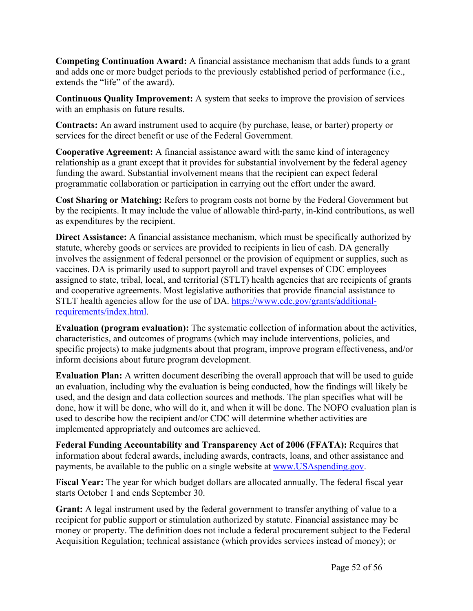**Competing Continuation Award:** A financial assistance mechanism that adds funds to a grant and adds one or more budget periods to the previously established period of performance (i.e., extends the "life" of the award).

**Continuous Quality Improvement:** A system that seeks to improve the provision of services with an emphasis on future results.

**Contracts:** An award instrument used to acquire (by purchase, lease, or barter) property or services for the direct benefit or use of the Federal Government.

**Cooperative Agreement:** A financial assistance award with the same kind of interagency relationship as a grant except that it provides for substantial involvement by the federal agency funding the award. Substantial involvement means that the recipient can expect federal programmatic collaboration or participation in carrying out the effort under the award.

**Cost Sharing or Matching:** Refers to program costs not borne by the Federal Government but by the recipients. It may include the value of allowable third-party, in-kind contributions, as well as expenditures by the recipient.

**Direct Assistance:** A financial assistance mechanism, which must be specifically authorized by statute, whereby goods or services are provided to recipients in lieu of cash. DA generally involves the assignment of federal personnel or the provision of equipment or supplies, such as vaccines. DA is primarily used to support payroll and travel expenses of CDC employees assigned to state, tribal, local, and territorial (STLT) health agencies that are recipients of grants and cooperative agreements. Most legislative authorities that provide financial assistance to STLT health agencies allow for the use of DA. [https://www.cdc.gov/grants/additional](https://www.cdc.gov/grants/additional-requirements/index.html)[requirements/index.html.](https://www.cdc.gov/grants/additional-requirements/index.html)

**Evaluation (program evaluation):** The systematic collection of information about the activities, characteristics, and outcomes of programs (which may include interventions, policies, and specific projects) to make judgments about that program, improve program effectiveness, and/or inform decisions about future program development.

**Evaluation Plan:** A written document describing the overall approach that will be used to guide an evaluation, including why the evaluation is being conducted, how the findings will likely be used, and the design and data collection sources and methods. The plan specifies what will be done, how it will be done, who will do it, and when it will be done. The NOFO evaluation plan is used to describe how the recipient and/or CDC will determine whether activities are implemented appropriately and outcomes are achieved.

**Federal Funding Accountability and Transparency Act of 2006 (FFATA):** Requires that information about federal awards, including awards, contracts, loans, and other assistance and payments, be available to the public on a single website at [www.USAspending.gov](http://www.usaspending.gov/).

**Fiscal Year:** The year for which budget dollars are allocated annually. The federal fiscal year starts October 1 and ends September 30.

**Grant:** A legal instrument used by the federal government to transfer anything of value to a recipient for public support or stimulation authorized by statute. Financial assistance may be money or property. The definition does not include a federal procurement subject to the Federal Acquisition Regulation; technical assistance (which provides services instead of money); or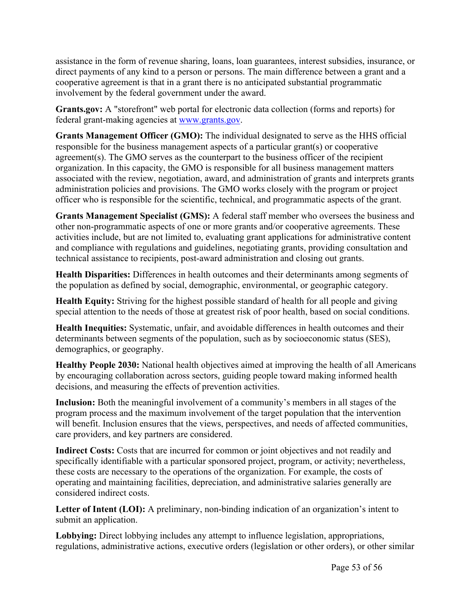assistance in the form of revenue sharing, loans, loan guarantees, interest subsidies, insurance, or direct payments of any kind to a person or persons. The main difference between a grant and a cooperative agreement is that in a grant there is no anticipated substantial programmatic involvement by the federal government under the award.

**Grants.gov:** A "storefront" web portal for electronic data collection (forms and reports) for federal grant-making agencies at [www.grants.gov](https://www.grants.gov/).

**Grants Management Officer (GMO):** The individual designated to serve as the HHS official responsible for the business management aspects of a particular grant(s) or cooperative agreement(s). The GMO serves as the counterpart to the business officer of the recipient organization. In this capacity, the GMO is responsible for all business management matters associated with the review, negotiation, award, and administration of grants and interprets grants administration policies and provisions. The GMO works closely with the program or project officer who is responsible for the scientific, technical, and programmatic aspects of the grant.

**Grants Management Specialist (GMS):** A federal staff member who oversees the business and other non-programmatic aspects of one or more grants and/or cooperative agreements. These activities include, but are not limited to, evaluating grant applications for administrative content and compliance with regulations and guidelines, negotiating grants, providing consultation and technical assistance to recipients, post-award administration and closing out grants.

**Health Disparities:** Differences in health outcomes and their determinants among segments of the population as defined by social, demographic, environmental, or geographic category.

**Health Equity:** Striving for the highest possible standard of health for all people and giving special attention to the needs of those at greatest risk of poor health, based on social conditions.

**Health Inequities:** Systematic, unfair, and avoidable differences in health outcomes and their determinants between segments of the population, such as by socioeconomic status (SES), demographics, or geography.

**Healthy People 2030:** National health objectives aimed at improving the health of all Americans by encouraging collaboration across sectors, guiding people toward making informed health decisions, and measuring the effects of prevention activities.

**Inclusion:** Both the meaningful involvement of a community's members in all stages of the program process and the maximum involvement of the target population that the intervention will benefit. Inclusion ensures that the views, perspectives, and needs of affected communities, care providers, and key partners are considered.

**Indirect Costs:** Costs that are incurred for common or joint objectives and not readily and specifically identifiable with a particular sponsored project, program, or activity; nevertheless, these costs are necessary to the operations of the organization. For example, the costs of operating and maintaining facilities, depreciation, and administrative salaries generally are considered indirect costs.

**Letter of Intent (LOI):** A preliminary, non-binding indication of an organization's intent to submit an application.

**Lobbying:** Direct lobbying includes any attempt to influence legislation, appropriations, regulations, administrative actions, executive orders (legislation or other orders), or other similar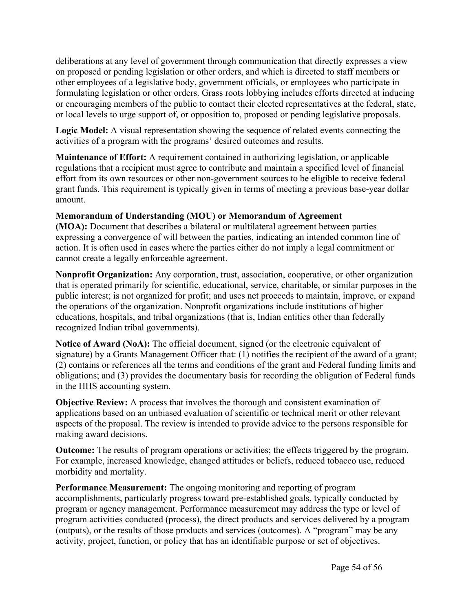deliberations at any level of government through communication that directly expresses a view on proposed or pending legislation or other orders, and which is directed to staff members or other employees of a legislative body, government officials, or employees who participate in formulating legislation or other orders. Grass roots lobbying includes efforts directed at inducing or encouraging members of the public to contact their elected representatives at the federal, state, or local levels to urge support of, or opposition to, proposed or pending legislative proposals.

**Logic Model:** A visual representation showing the sequence of related events connecting the activities of a program with the programs' desired outcomes and results.

**Maintenance of Effort:** A requirement contained in authorizing legislation, or applicable regulations that a recipient must agree to contribute and maintain a specified level of financial effort from its own resources or other non-government sources to be eligible to receive federal grant funds. This requirement is typically given in terms of meeting a previous base-year dollar amount.

#### **Memorandum of Understanding (MOU) or Memorandum of Agreement**

**(MOA):** Document that describes a bilateral or multilateral agreement between parties expressing a convergence of will between the parties, indicating an intended common line of action. It is often used in cases where the parties either do not imply a legal commitment or cannot create a legally enforceable agreement.

**Nonprofit Organization:** Any corporation, trust, association, cooperative, or other organization that is operated primarily for scientific, educational, service, charitable, or similar purposes in the public interest; is not organized for profit; and uses net proceeds to maintain, improve, or expand the operations of the organization. Nonprofit organizations include institutions of higher educations, hospitals, and tribal organizations (that is, Indian entities other than federally recognized Indian tribal governments).

**Notice of Award (NoA):** The official document, signed (or the electronic equivalent of signature) by a Grants Management Officer that: (1) notifies the recipient of the award of a grant; (2) contains or references all the terms and conditions of the grant and Federal funding limits and obligations; and (3) provides the documentary basis for recording the obligation of Federal funds in the HHS accounting system.

**Objective Review:** A process that involves the thorough and consistent examination of applications based on an unbiased evaluation of scientific or technical merit or other relevant aspects of the proposal. The review is intended to provide advice to the persons responsible for making award decisions.

**Outcome:** The results of program operations or activities; the effects triggered by the program. For example, increased knowledge, changed attitudes or beliefs, reduced tobacco use, reduced morbidity and mortality.

**Performance Measurement:** The ongoing monitoring and reporting of program accomplishments, particularly progress toward pre-established goals, typically conducted by program or agency management. Performance measurement may address the type or level of program activities conducted (process), the direct products and services delivered by a program (outputs), or the results of those products and services (outcomes). A "program" may be any activity, project, function, or policy that has an identifiable purpose or set of objectives.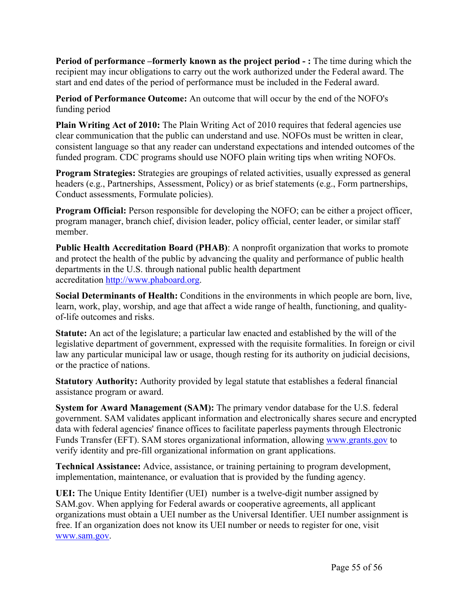**Period of performance –formerly known as the project period - :** The time during which the recipient may incur obligations to carry out the work authorized under the Federal award. The start and end dates of the period of performance must be included in the Federal award.

**Period of Performance Outcome:** An outcome that will occur by the end of the NOFO's funding period

**Plain Writing Act of 2010:** The Plain Writing Act of 2010 requires that federal agencies use clear communication that the public can understand and use. NOFOs must be written in clear, consistent language so that any reader can understand expectations and intended outcomes of the funded program. CDC programs should use NOFO plain writing tips when writing NOFOs.

**Program Strategies:** Strategies are groupings of related activities, usually expressed as general headers (e.g., Partnerships, Assessment, Policy) or as brief statements (e.g., Form partnerships, Conduct assessments, Formulate policies).

**Program Official:** Person responsible for developing the NOFO; can be either a project officer, program manager, branch chief, division leader, policy official, center leader, or similar staff member.

**Public Health Accreditation Board (PHAB)**: A nonprofit organization that works to promote and protect the health of the public by advancing the quality and performance of public health departments in the U.S. through national public health department accreditation [http://www.phaboard.org](http://www.phaboard.org/).

**Social Determinants of Health:** Conditions in the environments in which people are born, live, learn, work, play, worship, and age that affect a wide range of health, functioning, and qualityof-life outcomes and risks.

**Statute:** An act of the legislature; a particular law enacted and established by the will of the legislative department of government, expressed with the requisite formalities. In foreign or civil law any particular municipal law or usage, though resting for its authority on judicial decisions, or the practice of nations.

**Statutory Authority:** Authority provided by legal statute that establishes a federal financial assistance program or award.

**System for Award Management (SAM):** The primary vendor database for the U.S. federal government. SAM validates applicant information and electronically shares secure and encrypted data with federal agencies' finance offices to facilitate paperless payments through Electronic Funds Transfer (EFT). SAM stores organizational information, allowing [www.grants.gov](https://www.grants.gov/) to verify identity and pre-fill organizational information on grant applications.

**Technical Assistance:** Advice, assistance, or training pertaining to program development, implementation, maintenance, or evaluation that is provided by the funding agency.

**UEI:** The Unique Entity Identifier (UEI) number is a twelve-digit number assigned by SAM.gov. When applying for Federal awards or cooperative agreements, all applicant organizations must obtain a UEI number as the Universal Identifier. UEI number assignment is free. If an organization does not know its UEI number or needs to register for one, visit [www.sam.gov](http://www.sam.gov).